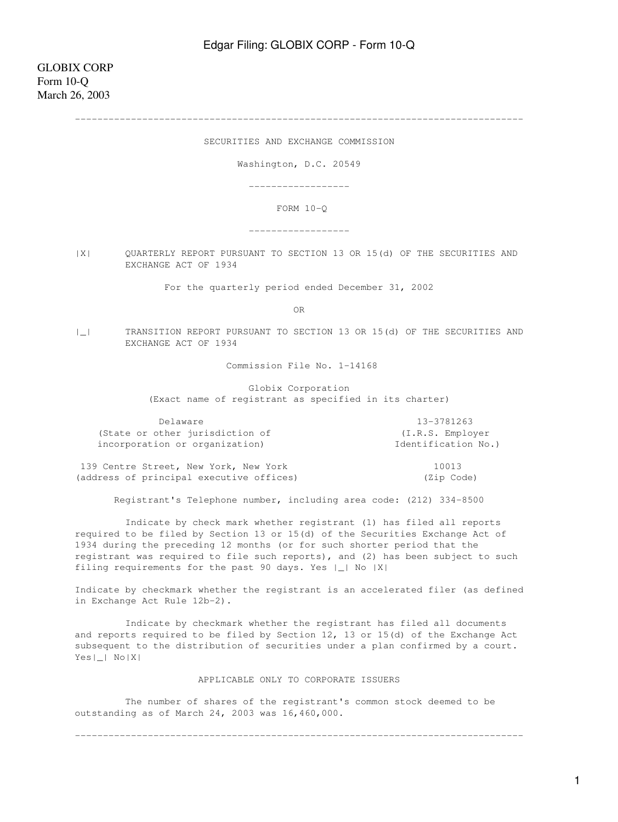--------------------------------------------------------------------------------

SECURITIES AND EXCHANGE COMMISSION

Washington, D.C. 20549

------------------

FORM 10-Q

------------------

|X| QUARTERLY REPORT PURSUANT TO SECTION 13 OR 15(d) OF THE SECURITIES AND EXCHANGE ACT OF 1934

For the quarterly period ended December 31, 2002

**OR** Service of the state of the state of the state of the state of the state of the state of the state of the state of the state of the state of the state of the state of the state of the state of the state of the state o

|\_| TRANSITION REPORT PURSUANT TO SECTION 13 OR 15(d) OF THE SECURITIES AND EXCHANGE ACT OF 1934

Commission File No. 1-14168

 Globix Corporation (Exact name of registrant as specified in its charter)

| Delaware                        | 13-3781263          |
|---------------------------------|---------------------|
| (State or other jurisdiction of | (I.R.S. Employer)   |
| incorporation or organization)  | Identification No.) |
|                                 | .                   |

139 Centre Street, New York, New York 10013 (address of principal executive offices) (Zip Code)

Registrant's Telephone number, including area code: (212) 334-8500

 Indicate by check mark whether registrant (1) has filed all reports required to be filed by Section 13 or 15(d) of the Securities Exchange Act of 1934 during the preceding 12 months (or for such shorter period that the registrant was required to file such reports), and (2) has been subject to such filing requirements for the past 90 days. Yes |\_| No |X|

Indicate by checkmark whether the registrant is an accelerated filer (as defined in Exchange Act Rule 12b-2).

 Indicate by checkmark whether the registrant has filed all documents and reports required to be filed by Section 12, 13 or 15(d) of the Exchange Act subsequent to the distribution of securities under a plan confirmed by a court. Yes|\_| No|X|

### APPLICABLE ONLY TO CORPORATE ISSUERS

--------------------------------------------------------------------------------

 The number of shares of the registrant's common stock deemed to be outstanding as of March 24, 2003 was 16,460,000.

1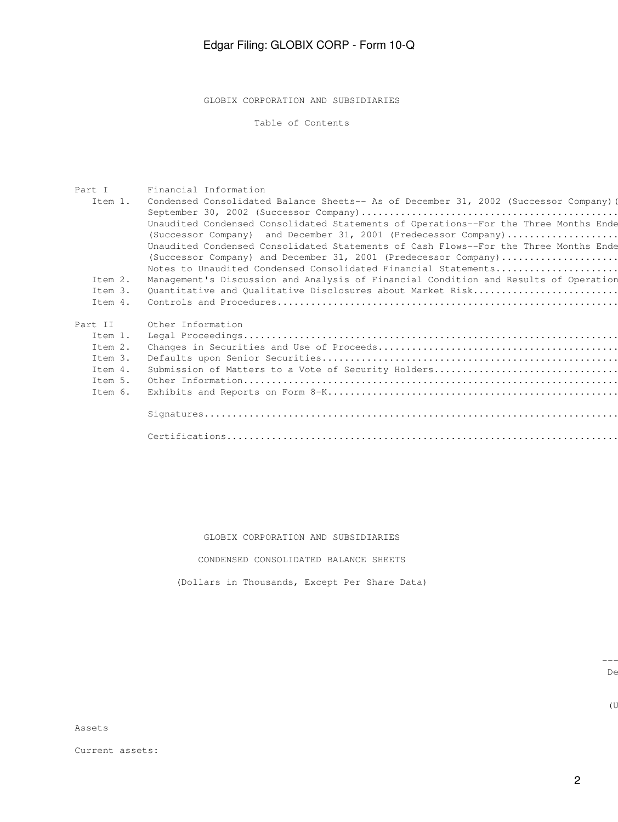GLOBIX CORPORATION AND SUBSIDIARIES

Table of Contents

| Part I  | Financial Information                                                                 |
|---------|---------------------------------------------------------------------------------------|
| Ttem 1. | Condensed Consolidated Balance Sheets-- As of December 31, 2002 (Successor Company) ( |
|         |                                                                                       |
|         | Unaudited Condensed Consolidated Statements of Operations--For the Three Months Ende  |
|         | (Successor Company) and December 31, 2001 (Predecessor Company)                       |
|         | Unaudited Condensed Consolidated Statements of Cash Flows--For the Three Months Ende  |
|         | (Successor Company) and December 31, 2001 (Predecessor Company)                       |
|         | Notes to Unaudited Condensed Consolidated Financial Statements                        |
| Ttem 2. | Management's Discussion and Analysis of Financial Condition and Results of Operation  |
| Item 3. | Quantitative and Qualitative Disclosures about Market Risk                            |
| Item 4. |                                                                                       |
|         |                                                                                       |
| Part II | Other Information                                                                     |
| Item 1. |                                                                                       |
| Item 2. |                                                                                       |
| Item 3. |                                                                                       |
| Item 4. | Submission of Matters to a Vote of Security Holders                                   |
| Item 5. |                                                                                       |
| Item 6. |                                                                                       |
|         |                                                                                       |
|         |                                                                                       |
|         |                                                                                       |
|         |                                                                                       |
|         |                                                                                       |

### GLOBIX CORPORATION AND SUBSIDIARIES

### CONDENSED CONSOLIDATED BALANCE SHEETS

(Dollars in Thousands, Except Per Share Data)

-------------------------------

 $(\mathbb{U})$ 

december 31, September 31, September 31, September 31, September 31, September 31, September 31, September 31,

Assets

Current assets: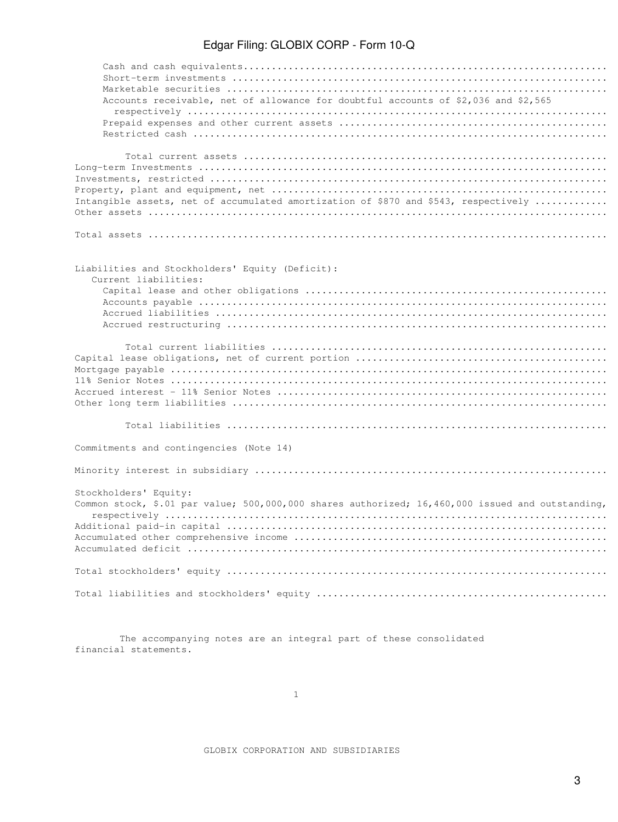| Accounts receivable, net of allowance for doubtful accounts of \$2,036 and \$2,565               |
|--------------------------------------------------------------------------------------------------|
|                                                                                                  |
|                                                                                                  |
|                                                                                                  |
|                                                                                                  |
|                                                                                                  |
|                                                                                                  |
|                                                                                                  |
| Intangible assets, net of accumulated amortization of \$870 and \$543, respectively              |
|                                                                                                  |
|                                                                                                  |
| Liabilities and Stockholders' Equity (Deficit):                                                  |
| Current liabilities:                                                                             |
|                                                                                                  |
|                                                                                                  |
|                                                                                                  |
|                                                                                                  |
|                                                                                                  |
|                                                                                                  |
|                                                                                                  |
|                                                                                                  |
|                                                                                                  |
|                                                                                                  |
|                                                                                                  |
|                                                                                                  |
|                                                                                                  |
| Commitments and contingencies (Note 14)                                                          |
|                                                                                                  |
| Stockholders' Equity:                                                                            |
| Common stock, \$.01 par value; 500,000,000 shares authorized; 16,460,000 issued and outstanding, |
|                                                                                                  |
|                                                                                                  |
|                                                                                                  |
|                                                                                                  |
|                                                                                                  |
|                                                                                                  |
|                                                                                                  |
|                                                                                                  |
|                                                                                                  |

 The accompanying notes are an integral part of these consolidated financial statements.

GLOBIX CORPORATION AND SUBSIDIARIES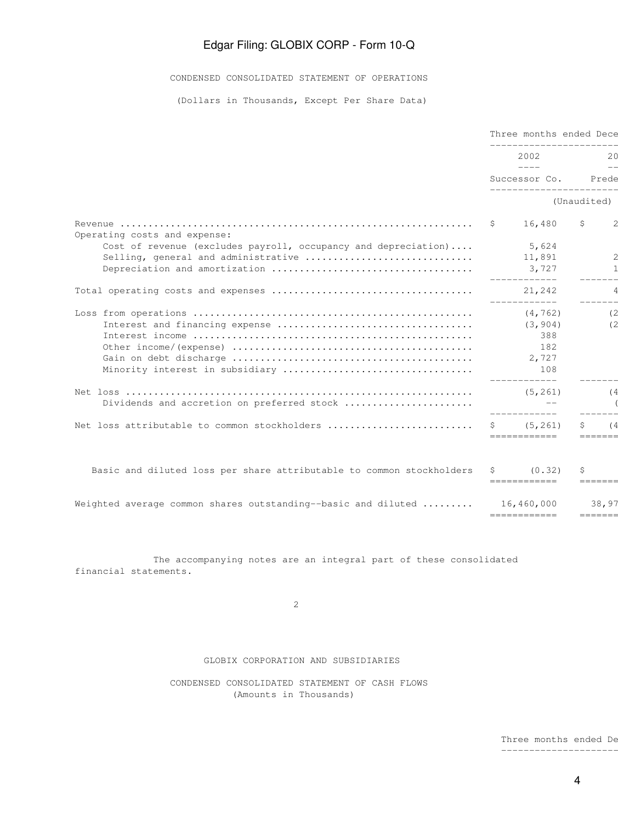CONDENSED CONSOLIDATED STATEMENT OF OPERATIONS

(Dollars in Thousands, Except Per Share Data)

|                                                                           |             | Three months ended Dece<br>---------------------                                                                                                                                                                                                                                                                                                                                                     |             |                           |  |           |
|---------------------------------------------------------------------------|-------------|------------------------------------------------------------------------------------------------------------------------------------------------------------------------------------------------------------------------------------------------------------------------------------------------------------------------------------------------------------------------------------------------------|-------------|---------------------------|--|-----------|
|                                                                           |             | 2002<br>$\frac{1}{2} \frac{1}{2} \frac{1}{2} \frac{1}{2} \frac{1}{2} \frac{1}{2} \frac{1}{2} \frac{1}{2} \frac{1}{2} \frac{1}{2} \frac{1}{2} \frac{1}{2} \frac{1}{2} \frac{1}{2} \frac{1}{2} \frac{1}{2} \frac{1}{2} \frac{1}{2} \frac{1}{2} \frac{1}{2} \frac{1}{2} \frac{1}{2} \frac{1}{2} \frac{1}{2} \frac{1}{2} \frac{1}{2} \frac{1}{2} \frac{1}{2} \frac{1}{2} \frac{1}{2} \frac{1}{2} \frac{$ |             |                           |  | 20<br>$-$ |
|                                                                           |             | Successor Co. Prede<br>________________________                                                                                                                                                                                                                                                                                                                                                      |             |                           |  |           |
|                                                                           |             |                                                                                                                                                                                                                                                                                                                                                                                                      | (Unaudited) |                           |  |           |
|                                                                           | $S$ and $S$ | 16,480                                                                                                                                                                                                                                                                                                                                                                                               | \$          | $\overline{c}$            |  |           |
| Operating costs and expense:                                              |             |                                                                                                                                                                                                                                                                                                                                                                                                      |             |                           |  |           |
| Cost of revenue (excludes payroll, occupancy and depreciation)            |             | 5,624                                                                                                                                                                                                                                                                                                                                                                                                |             |                           |  |           |
|                                                                           |             |                                                                                                                                                                                                                                                                                                                                                                                                      |             | 2                         |  |           |
|                                                                           |             | 3,727<br>____________                                                                                                                                                                                                                                                                                                                                                                                |             | _______                   |  |           |
|                                                                           |             | -------------                                                                                                                                                                                                                                                                                                                                                                                        |             | $\overline{4}$<br>_______ |  |           |
|                                                                           |             | (4, 762)                                                                                                                                                                                                                                                                                                                                                                                             |             | (2)                       |  |           |
|                                                                           |             |                                                                                                                                                                                                                                                                                                                                                                                                      |             | (2)                       |  |           |
|                                                                           |             | 388                                                                                                                                                                                                                                                                                                                                                                                                  |             |                           |  |           |
|                                                                           |             | 182                                                                                                                                                                                                                                                                                                                                                                                                  |             |                           |  |           |
|                                                                           |             |                                                                                                                                                                                                                                                                                                                                                                                                      |             |                           |  |           |
|                                                                           |             |                                                                                                                                                                                                                                                                                                                                                                                                      |             |                           |  |           |
|                                                                           |             |                                                                                                                                                                                                                                                                                                                                                                                                      |             | (4)                       |  |           |
|                                                                           |             |                                                                                                                                                                                                                                                                                                                                                                                                      |             |                           |  |           |
|                                                                           |             |                                                                                                                                                                                                                                                                                                                                                                                                      |             |                           |  |           |
|                                                                           |             | ============                                                                                                                                                                                                                                                                                                                                                                                         | S           | (4)<br>$=$ = = = = = =    |  |           |
|                                                                           |             |                                                                                                                                                                                                                                                                                                                                                                                                      |             |                           |  |           |
| Basic and diluted loss per share attributable to common stockholders      |             | $\sin(0.32)$                                                                                                                                                                                                                                                                                                                                                                                         |             |                           |  |           |
|                                                                           |             | ============                                                                                                                                                                                                                                                                                                                                                                                         |             | $=$ = = = = = =           |  |           |
| Weighted average common shares outstanding--basic and diluted  16,460,000 |             |                                                                                                                                                                                                                                                                                                                                                                                                      |             | 38,97                     |  |           |
|                                                                           |             | ============                                                                                                                                                                                                                                                                                                                                                                                         |             |                           |  |           |

 The accompanying notes are an integral part of these consolidated financial statements.

2

#### GLOBIX CORPORATION AND SUBSIDIARIES

 CONDENSED CONSOLIDATED STATEMENT OF CASH FLOWS (Amounts in Thousands)

> Three months ended De -------------------------------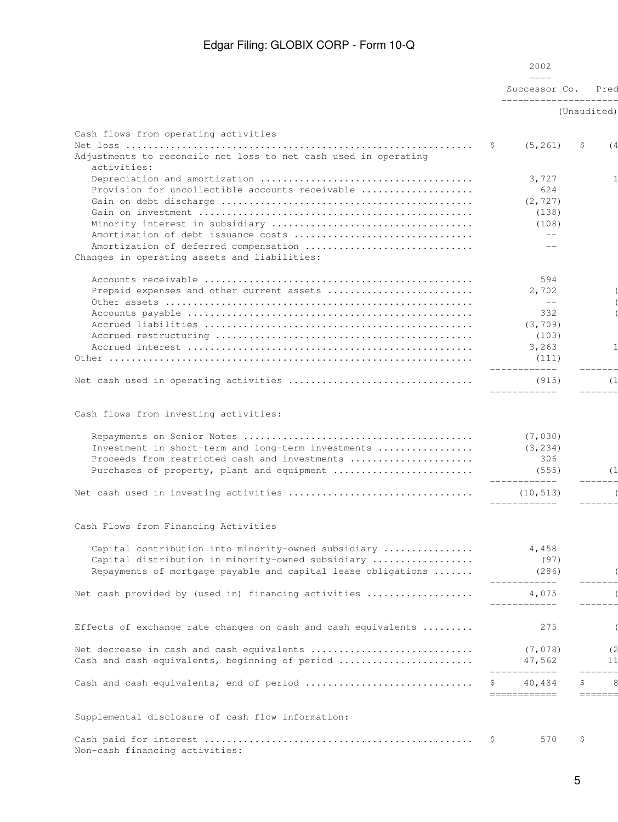| Successor Co.<br>______________________<br>(Unaudited)<br>Cash flows from operating activities<br>(5, 261)<br>-\$<br>Ş.<br>Adjustments to reconcile net loss to net cash used in operating<br>activities:<br>3,727<br>Provision for uncollectible accounts receivable<br>624<br>(2, 727)<br>(138)<br>(108)<br>$--$<br>Amortization of deferred compensation<br>$-$<br>Changes in operating assets and liabilities:<br>594<br>Prepaid expenses and other current assets<br>2,702<br>$--$<br>332<br>(3, 709)<br>(103)<br>3,263<br>(111)<br>____________<br>(915)<br>____________<br>Cash flows from investing activities:<br>(7, 030)<br>Investment in short-term and long-term investments<br>(3, 234)<br>Proceeds from restricted cash and investments<br>306<br>Purchases of property, plant and equipment<br>(555)<br>-------------<br>(10, 513)<br>____________<br>Cash Flows from Financing Activities<br>Capital contribution into minority-owned subsidiary<br>4,458<br>Capital distribution in minority-owned subsidiary<br>(97)<br>Repayments of mortgage payable and capital lease obligations<br>(286)<br>----------<br>Net cash provided by (used in) financing activities<br>4,075<br>____________<br>275<br>Effects of exchange rate changes on cash and cash equivalents<br>Net decrease in cash and cash equivalents<br>(7, 078)<br>Cash and cash equivalents, beginning of period<br>47,562<br>____________<br>40,484<br>\$<br>============<br>======<br>Supplemental disclosure of cash flow information:<br>570<br>\$<br>Ş. |  | 2002<br>$\frac{1}{1}$ |              |
|-----------------------------------------------------------------------------------------------------------------------------------------------------------------------------------------------------------------------------------------------------------------------------------------------------------------------------------------------------------------------------------------------------------------------------------------------------------------------------------------------------------------------------------------------------------------------------------------------------------------------------------------------------------------------------------------------------------------------------------------------------------------------------------------------------------------------------------------------------------------------------------------------------------------------------------------------------------------------------------------------------------------------------------------------------------------------------------------------------------------------------------------------------------------------------------------------------------------------------------------------------------------------------------------------------------------------------------------------------------------------------------------------------------------------------------------------------------------------------------------------------------------------------------------------|--|-----------------------|--------------|
|                                                                                                                                                                                                                                                                                                                                                                                                                                                                                                                                                                                                                                                                                                                                                                                                                                                                                                                                                                                                                                                                                                                                                                                                                                                                                                                                                                                                                                                                                                                                               |  |                       | Pred         |
|                                                                                                                                                                                                                                                                                                                                                                                                                                                                                                                                                                                                                                                                                                                                                                                                                                                                                                                                                                                                                                                                                                                                                                                                                                                                                                                                                                                                                                                                                                                                               |  |                       |              |
|                                                                                                                                                                                                                                                                                                                                                                                                                                                                                                                                                                                                                                                                                                                                                                                                                                                                                                                                                                                                                                                                                                                                                                                                                                                                                                                                                                                                                                                                                                                                               |  |                       |              |
|                                                                                                                                                                                                                                                                                                                                                                                                                                                                                                                                                                                                                                                                                                                                                                                                                                                                                                                                                                                                                                                                                                                                                                                                                                                                                                                                                                                                                                                                                                                                               |  |                       | (4)          |
|                                                                                                                                                                                                                                                                                                                                                                                                                                                                                                                                                                                                                                                                                                                                                                                                                                                                                                                                                                                                                                                                                                                                                                                                                                                                                                                                                                                                                                                                                                                                               |  |                       |              |
|                                                                                                                                                                                                                                                                                                                                                                                                                                                                                                                                                                                                                                                                                                                                                                                                                                                                                                                                                                                                                                                                                                                                                                                                                                                                                                                                                                                                                                                                                                                                               |  |                       |              |
|                                                                                                                                                                                                                                                                                                                                                                                                                                                                                                                                                                                                                                                                                                                                                                                                                                                                                                                                                                                                                                                                                                                                                                                                                                                                                                                                                                                                                                                                                                                                               |  |                       |              |
|                                                                                                                                                                                                                                                                                                                                                                                                                                                                                                                                                                                                                                                                                                                                                                                                                                                                                                                                                                                                                                                                                                                                                                                                                                                                                                                                                                                                                                                                                                                                               |  |                       |              |
|                                                                                                                                                                                                                                                                                                                                                                                                                                                                                                                                                                                                                                                                                                                                                                                                                                                                                                                                                                                                                                                                                                                                                                                                                                                                                                                                                                                                                                                                                                                                               |  |                       |              |
|                                                                                                                                                                                                                                                                                                                                                                                                                                                                                                                                                                                                                                                                                                                                                                                                                                                                                                                                                                                                                                                                                                                                                                                                                                                                                                                                                                                                                                                                                                                                               |  |                       |              |
|                                                                                                                                                                                                                                                                                                                                                                                                                                                                                                                                                                                                                                                                                                                                                                                                                                                                                                                                                                                                                                                                                                                                                                                                                                                                                                                                                                                                                                                                                                                                               |  |                       |              |
|                                                                                                                                                                                                                                                                                                                                                                                                                                                                                                                                                                                                                                                                                                                                                                                                                                                                                                                                                                                                                                                                                                                                                                                                                                                                                                                                                                                                                                                                                                                                               |  |                       |              |
|                                                                                                                                                                                                                                                                                                                                                                                                                                                                                                                                                                                                                                                                                                                                                                                                                                                                                                                                                                                                                                                                                                                                                                                                                                                                                                                                                                                                                                                                                                                                               |  |                       |              |
|                                                                                                                                                                                                                                                                                                                                                                                                                                                                                                                                                                                                                                                                                                                                                                                                                                                                                                                                                                                                                                                                                                                                                                                                                                                                                                                                                                                                                                                                                                                                               |  |                       |              |
|                                                                                                                                                                                                                                                                                                                                                                                                                                                                                                                                                                                                                                                                                                                                                                                                                                                                                                                                                                                                                                                                                                                                                                                                                                                                                                                                                                                                                                                                                                                                               |  |                       | $\mathbf{1}$ |
|                                                                                                                                                                                                                                                                                                                                                                                                                                                                                                                                                                                                                                                                                                                                                                                                                                                                                                                                                                                                                                                                                                                                                                                                                                                                                                                                                                                                                                                                                                                                               |  |                       |              |
|                                                                                                                                                                                                                                                                                                                                                                                                                                                                                                                                                                                                                                                                                                                                                                                                                                                                                                                                                                                                                                                                                                                                                                                                                                                                                                                                                                                                                                                                                                                                               |  |                       | (1)          |
|                                                                                                                                                                                                                                                                                                                                                                                                                                                                                                                                                                                                                                                                                                                                                                                                                                                                                                                                                                                                                                                                                                                                                                                                                                                                                                                                                                                                                                                                                                                                               |  |                       |              |
|                                                                                                                                                                                                                                                                                                                                                                                                                                                                                                                                                                                                                                                                                                                                                                                                                                                                                                                                                                                                                                                                                                                                                                                                                                                                                                                                                                                                                                                                                                                                               |  |                       |              |
|                                                                                                                                                                                                                                                                                                                                                                                                                                                                                                                                                                                                                                                                                                                                                                                                                                                                                                                                                                                                                                                                                                                                                                                                                                                                                                                                                                                                                                                                                                                                               |  |                       |              |
|                                                                                                                                                                                                                                                                                                                                                                                                                                                                                                                                                                                                                                                                                                                                                                                                                                                                                                                                                                                                                                                                                                                                                                                                                                                                                                                                                                                                                                                                                                                                               |  |                       |              |
|                                                                                                                                                                                                                                                                                                                                                                                                                                                                                                                                                                                                                                                                                                                                                                                                                                                                                                                                                                                                                                                                                                                                                                                                                                                                                                                                                                                                                                                                                                                                               |  |                       |              |
|                                                                                                                                                                                                                                                                                                                                                                                                                                                                                                                                                                                                                                                                                                                                                                                                                                                                                                                                                                                                                                                                                                                                                                                                                                                                                                                                                                                                                                                                                                                                               |  |                       | (1)          |
|                                                                                                                                                                                                                                                                                                                                                                                                                                                                                                                                                                                                                                                                                                                                                                                                                                                                                                                                                                                                                                                                                                                                                                                                                                                                                                                                                                                                                                                                                                                                               |  |                       |              |
|                                                                                                                                                                                                                                                                                                                                                                                                                                                                                                                                                                                                                                                                                                                                                                                                                                                                                                                                                                                                                                                                                                                                                                                                                                                                                                                                                                                                                                                                                                                                               |  |                       |              |
|                                                                                                                                                                                                                                                                                                                                                                                                                                                                                                                                                                                                                                                                                                                                                                                                                                                                                                                                                                                                                                                                                                                                                                                                                                                                                                                                                                                                                                                                                                                                               |  |                       |              |
|                                                                                                                                                                                                                                                                                                                                                                                                                                                                                                                                                                                                                                                                                                                                                                                                                                                                                                                                                                                                                                                                                                                                                                                                                                                                                                                                                                                                                                                                                                                                               |  |                       |              |
|                                                                                                                                                                                                                                                                                                                                                                                                                                                                                                                                                                                                                                                                                                                                                                                                                                                                                                                                                                                                                                                                                                                                                                                                                                                                                                                                                                                                                                                                                                                                               |  |                       |              |
|                                                                                                                                                                                                                                                                                                                                                                                                                                                                                                                                                                                                                                                                                                                                                                                                                                                                                                                                                                                                                                                                                                                                                                                                                                                                                                                                                                                                                                                                                                                                               |  |                       |              |
|                                                                                                                                                                                                                                                                                                                                                                                                                                                                                                                                                                                                                                                                                                                                                                                                                                                                                                                                                                                                                                                                                                                                                                                                                                                                                                                                                                                                                                                                                                                                               |  |                       |              |
|                                                                                                                                                                                                                                                                                                                                                                                                                                                                                                                                                                                                                                                                                                                                                                                                                                                                                                                                                                                                                                                                                                                                                                                                                                                                                                                                                                                                                                                                                                                                               |  |                       |              |
|                                                                                                                                                                                                                                                                                                                                                                                                                                                                                                                                                                                                                                                                                                                                                                                                                                                                                                                                                                                                                                                                                                                                                                                                                                                                                                                                                                                                                                                                                                                                               |  |                       | (2)          |
|                                                                                                                                                                                                                                                                                                                                                                                                                                                                                                                                                                                                                                                                                                                                                                                                                                                                                                                                                                                                                                                                                                                                                                                                                                                                                                                                                                                                                                                                                                                                               |  |                       | 11           |
|                                                                                                                                                                                                                                                                                                                                                                                                                                                                                                                                                                                                                                                                                                                                                                                                                                                                                                                                                                                                                                                                                                                                                                                                                                                                                                                                                                                                                                                                                                                                               |  |                       |              |
|                                                                                                                                                                                                                                                                                                                                                                                                                                                                                                                                                                                                                                                                                                                                                                                                                                                                                                                                                                                                                                                                                                                                                                                                                                                                                                                                                                                                                                                                                                                                               |  |                       |              |
| Non-cash financing activities:                                                                                                                                                                                                                                                                                                                                                                                                                                                                                                                                                                                                                                                                                                                                                                                                                                                                                                                                                                                                                                                                                                                                                                                                                                                                                                                                                                                                                                                                                                                |  |                       |              |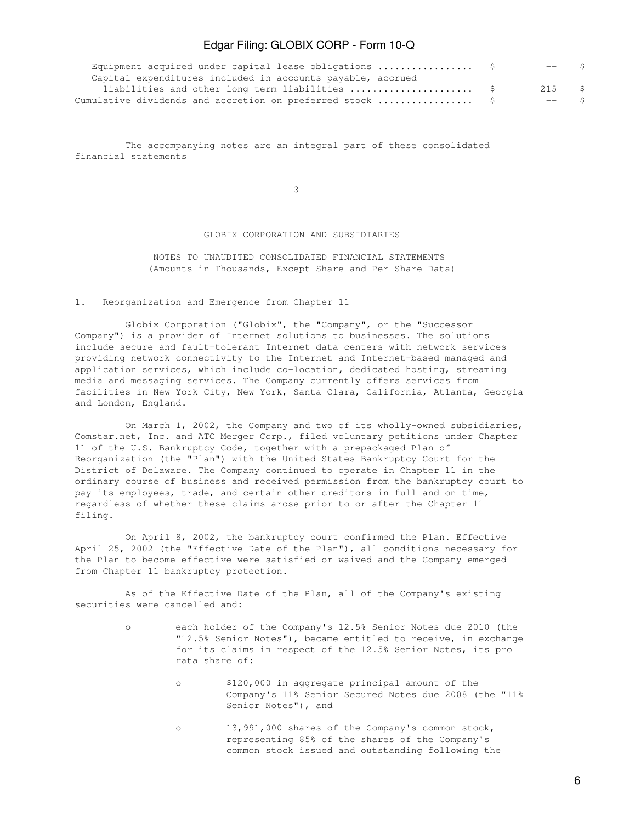| Equipment acquired under capital lease obligations  \$     | $---$ S |  |
|------------------------------------------------------------|---------|--|
| Capital expenditures included in accounts payable, accrued |         |  |
|                                                            | 215 S   |  |
|                                                            | $---$ S |  |

 The accompanying notes are an integral part of these consolidated financial statements

 $\sim$  3

### GLOBIX CORPORATION AND SUBSIDIARIES

 NOTES TO UNAUDITED CONSOLIDATED FINANCIAL STATEMENTS (Amounts in Thousands, Except Share and Per Share Data)

1. Reorganization and Emergence from Chapter 11

 Globix Corporation ("Globix", the "Company", or the "Successor Company") is a provider of Internet solutions to businesses. The solutions include secure and fault-tolerant Internet data centers with network services providing network connectivity to the Internet and Internet-based managed and application services, which include co-location, dedicated hosting, streaming media and messaging services. The Company currently offers services from facilities in New York City, New York, Santa Clara, California, Atlanta, Georgia and London, England.

 On March 1, 2002, the Company and two of its wholly-owned subsidiaries, Comstar.net, Inc. and ATC Merger Corp., filed voluntary petitions under Chapter 11 of the U.S. Bankruptcy Code, together with a prepackaged Plan of Reorganization (the "Plan") with the United States Bankruptcy Court for the District of Delaware. The Company continued to operate in Chapter 11 in the ordinary course of business and received permission from the bankruptcy court to pay its employees, trade, and certain other creditors in full and on time, regardless of whether these claims arose prior to or after the Chapter 11 filing.

 On April 8, 2002, the bankruptcy court confirmed the Plan. Effective April 25, 2002 (the "Effective Date of the Plan"), all conditions necessary for the Plan to become effective were satisfied or waived and the Company emerged from Chapter 11 bankruptcy protection.

 As of the Effective Date of the Plan, all of the Company's existing securities were cancelled and:

- o each holder of the Company's 12.5% Senior Notes due 2010 (the "12.5% Senior Notes"), became entitled to receive, in exchange for its claims in respect of the 12.5% Senior Notes, its pro rata share of:
	- o \$120,000 in aggregate principal amount of the Company's 11% Senior Secured Notes due 2008 (the "11% Senior Notes"), and
	- o 13,991,000 shares of the Company's common stock, representing 85% of the shares of the Company's common stock issued and outstanding following the

6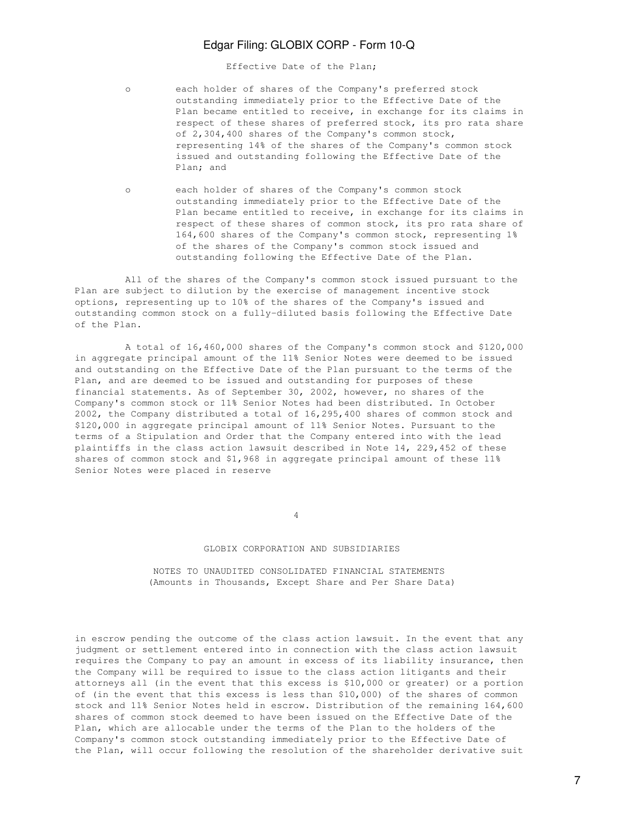Effective Date of the Plan;

- o each holder of shares of the Company's preferred stock outstanding immediately prior to the Effective Date of the Plan became entitled to receive, in exchange for its claims in respect of these shares of preferred stock, its pro rata share of 2,304,400 shares of the Company's common stock, representing 14% of the shares of the Company's common stock issued and outstanding following the Effective Date of the Plan; and
- o each holder of shares of the Company's common stock outstanding immediately prior to the Effective Date of the Plan became entitled to receive, in exchange for its claims in respect of these shares of common stock, its pro rata share of 164,600 shares of the Company's common stock, representing 1% of the shares of the Company's common stock issued and outstanding following the Effective Date of the Plan.

 All of the shares of the Company's common stock issued pursuant to the Plan are subject to dilution by the exercise of management incentive stock options, representing up to 10% of the shares of the Company's issued and outstanding common stock on a fully-diluted basis following the Effective Date of the Plan.

 A total of 16,460,000 shares of the Company's common stock and \$120,000 in aggregate principal amount of the 11% Senior Notes were deemed to be issued and outstanding on the Effective Date of the Plan pursuant to the terms of the Plan, and are deemed to be issued and outstanding for purposes of these financial statements. As of September 30, 2002, however, no shares of the Company's common stock or 11% Senior Notes had been distributed. In October 2002, the Company distributed a total of 16,295,400 shares of common stock and \$120,000 in aggregate principal amount of 11% Senior Notes. Pursuant to the terms of a Stipulation and Order that the Company entered into with the lead plaintiffs in the class action lawsuit described in Note 14, 229,452 of these shares of common stock and \$1,968 in aggregate principal amount of these 11% Senior Notes were placed in reserve

4

### GLOBIX CORPORATION AND SUBSIDIARIES

 NOTES TO UNAUDITED CONSOLIDATED FINANCIAL STATEMENTS (Amounts in Thousands, Except Share and Per Share Data)

in escrow pending the outcome of the class action lawsuit. In the event that any judgment or settlement entered into in connection with the class action lawsuit requires the Company to pay an amount in excess of its liability insurance, then the Company will be required to issue to the class action litigants and their attorneys all (in the event that this excess is \$10,000 or greater) or a portion of (in the event that this excess is less than \$10,000) of the shares of common stock and 11% Senior Notes held in escrow. Distribution of the remaining 164,600 shares of common stock deemed to have been issued on the Effective Date of the Plan, which are allocable under the terms of the Plan to the holders of the Company's common stock outstanding immediately prior to the Effective Date of the Plan, will occur following the resolution of the shareholder derivative suit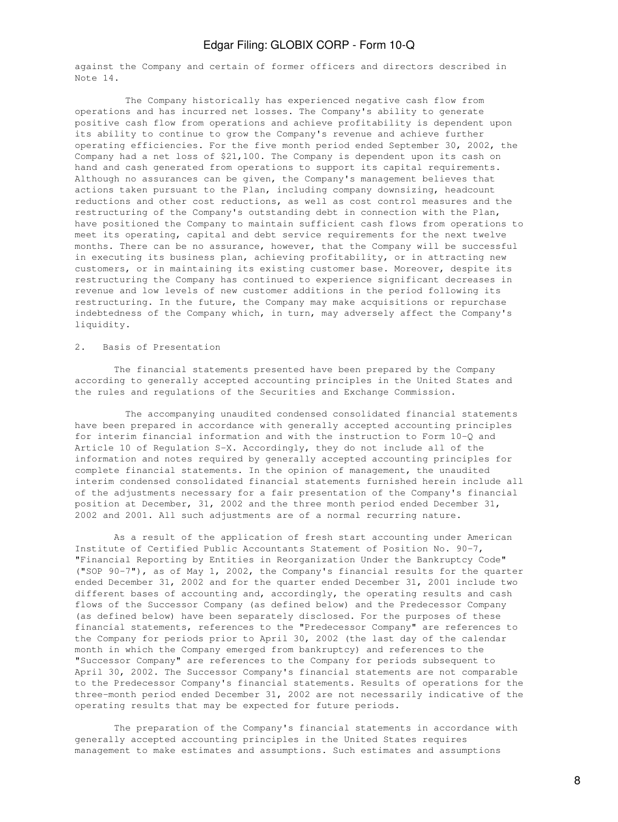against the Company and certain of former officers and directors described in Note 14.

 The Company historically has experienced negative cash flow from operations and has incurred net losses. The Company's ability to generate positive cash flow from operations and achieve profitability is dependent upon its ability to continue to grow the Company's revenue and achieve further operating efficiencies. For the five month period ended September 30, 2002, the Company had a net loss of \$21,100. The Company is dependent upon its cash on hand and cash generated from operations to support its capital requirements. Although no assurances can be given, the Company's management believes that actions taken pursuant to the Plan, including company downsizing, headcount reductions and other cost reductions, as well as cost control measures and the restructuring of the Company's outstanding debt in connection with the Plan, have positioned the Company to maintain sufficient cash flows from operations to meet its operating, capital and debt service requirements for the next twelve months. There can be no assurance, however, that the Company will be successful in executing its business plan, achieving profitability, or in attracting new customers, or in maintaining its existing customer base. Moreover, despite its restructuring the Company has continued to experience significant decreases in revenue and low levels of new customer additions in the period following its restructuring. In the future, the Company may make acquisitions or repurchase indebtedness of the Company which, in turn, may adversely affect the Company's liquidity.

#### 2. Basis of Presentation

 The financial statements presented have been prepared by the Company according to generally accepted accounting principles in the United States and the rules and regulations of the Securities and Exchange Commission.

 The accompanying unaudited condensed consolidated financial statements have been prepared in accordance with generally accepted accounting principles for interim financial information and with the instruction to Form 10-Q and Article 10 of Regulation S-X. Accordingly, they do not include all of the information and notes required by generally accepted accounting principles for complete financial statements. In the opinion of management, the unaudited interim condensed consolidated financial statements furnished herein include all of the adjustments necessary for a fair presentation of the Company's financial position at December, 31, 2002 and the three month period ended December 31, 2002 and 2001. All such adjustments are of a normal recurring nature.

 As a result of the application of fresh start accounting under American Institute of Certified Public Accountants Statement of Position No. 90-7, "Financial Reporting by Entities in Reorganization Under the Bankruptcy Code" ("SOP 90-7"), as of May 1, 2002, the Company's financial results for the quarter ended December 31, 2002 and for the quarter ended December 31, 2001 include two different bases of accounting and, accordingly, the operating results and cash flows of the Successor Company (as defined below) and the Predecessor Company (as defined below) have been separately disclosed. For the purposes of these financial statements, references to the "Predecessor Company" are references to the Company for periods prior to April 30, 2002 (the last day of the calendar month in which the Company emerged from bankruptcy) and references to the "Successor Company" are references to the Company for periods subsequent to April 30, 2002. The Successor Company's financial statements are not comparable to the Predecessor Company's financial statements. Results of operations for the three-month period ended December 31, 2002 are not necessarily indicative of the operating results that may be expected for future periods.

 The preparation of the Company's financial statements in accordance with generally accepted accounting principles in the United States requires management to make estimates and assumptions. Such estimates and assumptions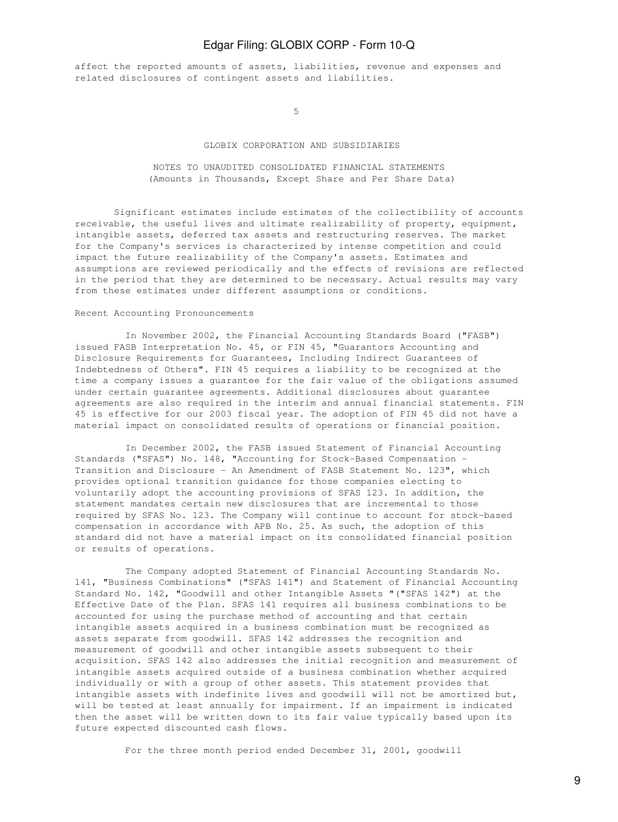affect the reported amounts of assets, liabilities, revenue and expenses and related disclosures of contingent assets and liabilities.

 $5<sub>5</sub>$ 

#### GLOBIX CORPORATION AND SUBSIDIARIES

### NOTES TO UNAUDITED CONSOLIDATED FINANCIAL STATEMENTS (Amounts in Thousands, Except Share and Per Share Data)

 Significant estimates include estimates of the collectibility of accounts receivable, the useful lives and ultimate realizability of property, equipment, intangible assets, deferred tax assets and restructuring reserves. The market for the Company's services is characterized by intense competition and could impact the future realizability of the Company's assets. Estimates and assumptions are reviewed periodically and the effects of revisions are reflected in the period that they are determined to be necessary. Actual results may vary from these estimates under different assumptions or conditions.

### Recent Accounting Pronouncements

 In November 2002, the Financial Accounting Standards Board ("FASB") issued FASB Interpretation No. 45, or FIN 45, "Guarantors Accounting and Disclosure Requirements for Guarantees, Including Indirect Guarantees of Indebtedness of Others". FIN 45 requires a liability to be recognized at the time a company issues a guarantee for the fair value of the obligations assumed under certain guarantee agreements. Additional disclosures about guarantee agreements are also required in the interim and annual financial statements. FIN 45 is effective for our 2003 fiscal year. The adoption of FIN 45 did not have a material impact on consolidated results of operations or financial position.

 In December 2002, the FASB issued Statement of Financial Accounting Standards ("SFAS") No. 148, "Accounting for Stock-Based Compensation - Transition and Disclosure - An Amendment of FASB Statement No. 123", which provides optional transition guidance for those companies electing to voluntarily adopt the accounting provisions of SFAS 123. In addition, the statement mandates certain new disclosures that are incremental to those required by SFAS No. 123. The Company will continue to account for stock-based compensation in accordance with APB No. 25. As such, the adoption of this standard did not have a material impact on its consolidated financial position or results of operations.

 The Company adopted Statement of Financial Accounting Standards No. 141, "Business Combinations" ("SFAS 141") and Statement of Financial Accounting Standard No. 142, "Goodwill and other Intangible Assets "("SFAS 142") at the Effective Date of the Plan. SFAS 141 requires all business combinations to be accounted for using the purchase method of accounting and that certain intangible assets acquired in a business combination must be recognized as assets separate from goodwill. SFAS 142 addresses the recognition and measurement of goodwill and other intangible assets subsequent to their acquisition. SFAS 142 also addresses the initial recognition and measurement of intangible assets acquired outside of a business combination whether acquired individually or with a group of other assets. This statement provides that intangible assets with indefinite lives and goodwill will not be amortized but, will be tested at least annually for impairment. If an impairment is indicated then the asset will be written down to its fair value typically based upon its future expected discounted cash flows.

For the three month period ended December 31, 2001, goodwill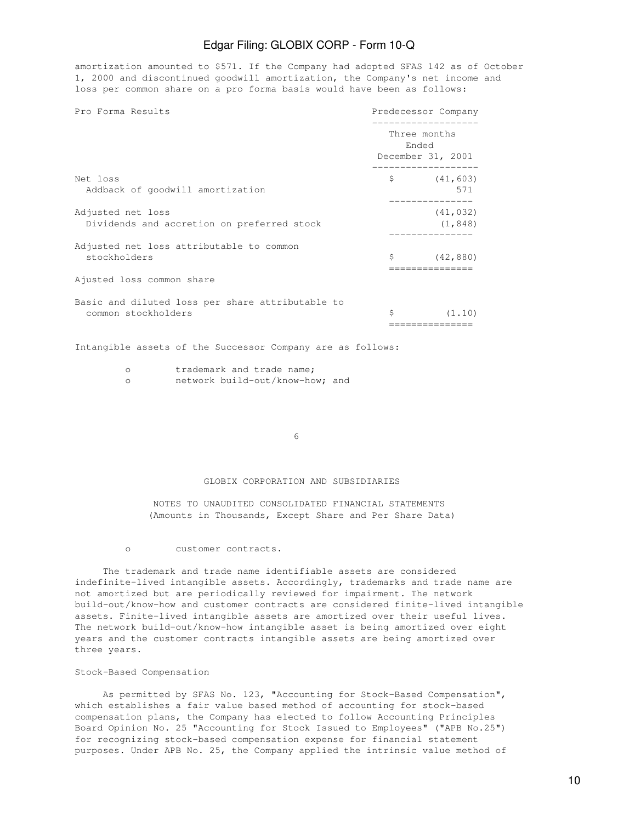amortization amounted to \$571. If the Company had adopted SFAS 142 as of October 1, 2000 and discontinued goodwill amortization, the Company's net income and loss per common share on a pro forma basis would have been as follows:

| Pro Forma Results                                                       |                               | Predecessor Company   |
|-------------------------------------------------------------------------|-------------------------------|-----------------------|
|                                                                         | Three months<br>Ended         | December 31, 2001     |
| Net loss<br>Addback of goodwill amortization                            | $\mathsf{S}$ and $\mathsf{S}$ | (41, 603)<br>571      |
| Adjusted net loss<br>Dividends and accretion on preferred stock         |                               | (41, 032)<br>(1, 848) |
| Adjusted net loss attributable to common<br>stockholders                | Ŝ                             | (42, 880)             |
| Ajusted loss common share                                               |                               |                       |
| Basic and diluted loss per share attributable to<br>common stockholders | \$                            | (1.10)                |

Intangible assets of the Successor Company are as follows:

| trademark and trade name; |
|---------------------------|
| $n \geq n$                |

network build-out/know-how; and

 $\sim$  6

### GLOBIX CORPORATION AND SUBSIDIARIES

 NOTES TO UNAUDITED CONSOLIDATED FINANCIAL STATEMENTS (Amounts in Thousands, Except Share and Per Share Data)

o customer contracts.

 The trademark and trade name identifiable assets are considered indefinite-lived intangible assets. Accordingly, trademarks and trade name are not amortized but are periodically reviewed for impairment. The network build-out/know-how and customer contracts are considered finite-lived intangible assets. Finite-lived intangible assets are amortized over their useful lives. The network build-out/know-how intangible asset is being amortized over eight years and the customer contracts intangible assets are being amortized over three years.

#### Stock-Based Compensation

 As permitted by SFAS No. 123, "Accounting for Stock-Based Compensation", which establishes a fair value based method of accounting for stock-based compensation plans, the Company has elected to follow Accounting Principles Board Opinion No. 25 "Accounting for Stock Issued to Employees" ("APB No.25") for recognizing stock-based compensation expense for financial statement purposes. Under APB No. 25, the Company applied the intrinsic value method of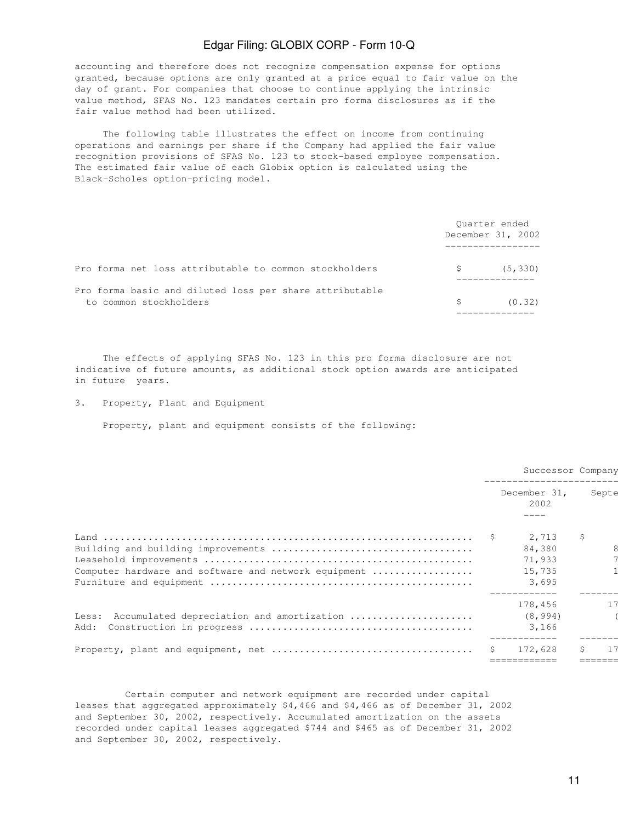accounting and therefore does not recognize compensation expense for options granted, because options are only granted at a price equal to fair value on the day of grant. For companies that choose to continue applying the intrinsic value method, SFAS No. 123 mandates certain pro forma disclosures as if the fair value method had been utilized.

 The following table illustrates the effect on income from continuing operations and earnings per share if the Company had applied the fair value recognition provisions of SFAS No. 123 to stock-based employee compensation. The estimated fair value of each Globix option is calculated using the Black-Scholes option-pricing model.

|                                                                                   |    | Ouarter ended<br>December 31, 2002 |
|-----------------------------------------------------------------------------------|----|------------------------------------|
| Pro forma net loss attributable to common stockholders                            | S  | (5, 330)                           |
| Pro forma basic and diluted loss per share attributable<br>to common stockholders | S. | (0.32)                             |

 The effects of applying SFAS No. 123 in this pro forma disclosure are not indicative of future amounts, as additional stock option awards are anticipated in future years.

3. Property, Plant and Equipment

Property, plant and equipment consists of the following:

|                                                         | Successor Company |                      |             |       |
|---------------------------------------------------------|-------------------|----------------------|-------------|-------|
|                                                         |                   | December 31,<br>2002 |             | Septe |
|                                                         |                   | 2,713<br>84,380      | $\varsigma$ |       |
|                                                         |                   | 71,933               |             |       |
| Computer hardware and software and network equipment    |                   | 15,735<br>3,695      |             |       |
|                                                         |                   | 178,456              |             | 17    |
| Less: Accumulated depreciation and amortization<br>Add: |                   | (8, 994)<br>3,166    |             |       |
|                                                         |                   | 172,628              | Ŝ           |       |
|                                                         |                   |                      |             |       |

 Certain computer and network equipment are recorded under capital leases that aggregated approximately \$4,466 and \$4,466 as of December 31, 2002 and September 30, 2002, respectively. Accumulated amortization on the assets recorded under capital leases aggregated \$744 and \$465 as of December 31, 2002 and September 30, 2002, respectively.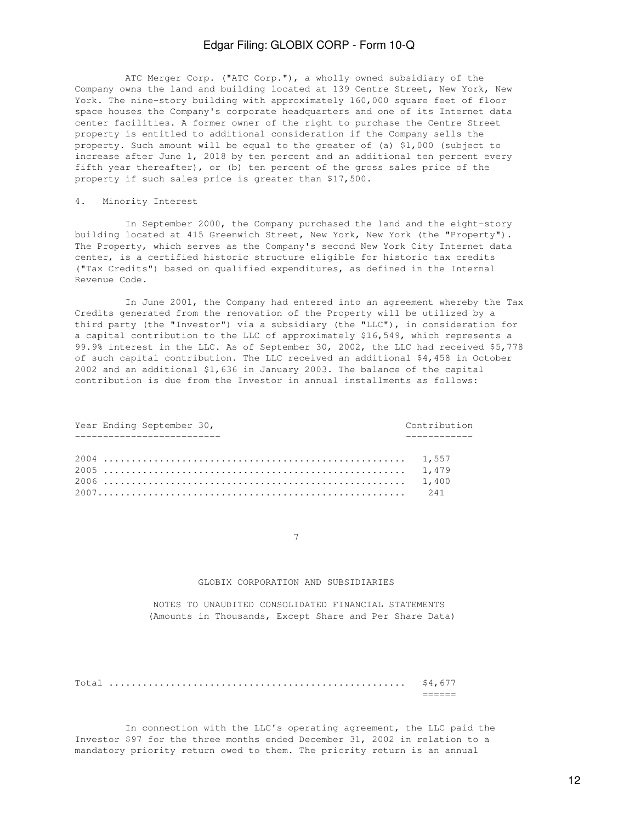ATC Merger Corp. ("ATC Corp."), a wholly owned subsidiary of the Company owns the land and building located at 139 Centre Street, New York, New York. The nine-story building with approximately 160,000 square feet of floor space houses the Company's corporate headquarters and one of its Internet data center facilities. A former owner of the right to purchase the Centre Street property is entitled to additional consideration if the Company sells the property. Such amount will be equal to the greater of (a) \$1,000 (subject to increase after June 1, 2018 by ten percent and an additional ten percent every fifth year thereafter), or (b) ten percent of the gross sales price of the property if such sales price is greater than \$17,500.

### 4. Minority Interest

 In September 2000, the Company purchased the land and the eight-story building located at 415 Greenwich Street, New York, New York (the "Property"). The Property, which serves as the Company's second New York City Internet data center, is a certified historic structure eligible for historic tax credits ("Tax Credits") based on qualified expenditures, as defined in the Internal Revenue Code.

 In June 2001, the Company had entered into an agreement whereby the Tax Credits generated from the renovation of the Property will be utilized by a third party (the "Investor") via a subsidiary (the "LLC"), in consideration for a capital contribution to the LLC of approximately \$16,549, which represents a 99.9% interest in the LLC. As of September 30, 2002, the LLC had received \$5,778 of such capital contribution. The LLC received an additional \$4,458 in October 2002 and an additional \$1,636 in January 2003. The balance of the capital contribution is due from the Investor in annual installments as follows:

| Year Ending September 30, | Contribution |
|---------------------------|--------------|
| ---------------           |              |
|                           |              |
|                           |              |
|                           |              |

7

#### GLOBIX CORPORATION AND SUBSIDIARIES

 NOTES TO UNAUDITED CONSOLIDATED FINANCIAL STATEMENTS (Amounts in Thousands, Except Share and Per Share Data)

Total ..................................................... \$4,677 ======

 In connection with the LLC's operating agreement, the LLC paid the Investor \$97 for the three months ended December 31, 2002 in relation to a mandatory priority return owed to them. The priority return is an annual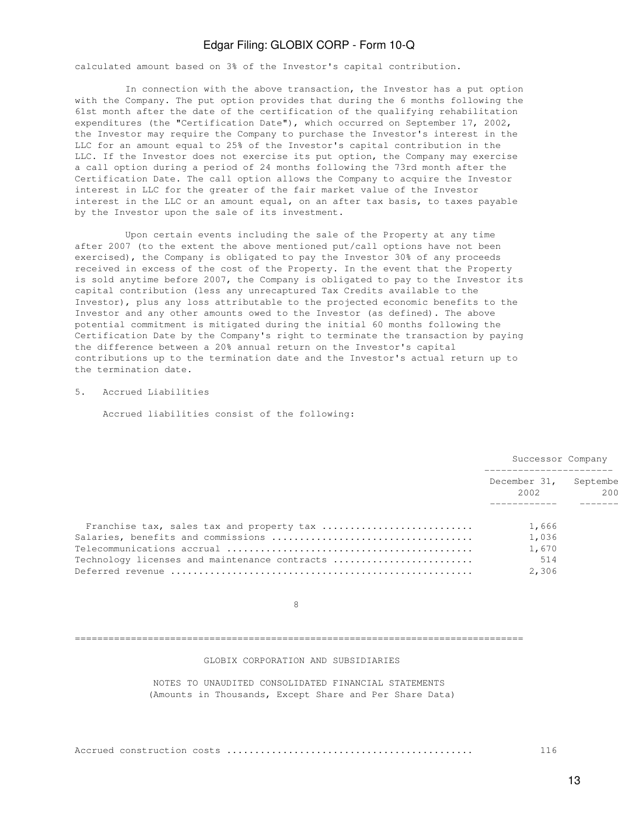calculated amount based on 3% of the Investor's capital contribution.

 In connection with the above transaction, the Investor has a put option with the Company. The put option provides that during the 6 months following the 61st month after the date of the certification of the qualifying rehabilitation expenditures (the "Certification Date"), which occurred on September 17, 2002, the Investor may require the Company to purchase the Investor's interest in the LLC for an amount equal to 25% of the Investor's capital contribution in the LLC. If the Investor does not exercise its put option, the Company may exercise a call option during a period of 24 months following the 73rd month after the Certification Date. The call option allows the Company to acquire the Investor interest in LLC for the greater of the fair market value of the Investor interest in the LLC or an amount equal, on an after tax basis, to taxes payable by the Investor upon the sale of its investment.

 Upon certain events including the sale of the Property at any time after 2007 (to the extent the above mentioned put/call options have not been exercised), the Company is obligated to pay the Investor 30% of any proceeds received in excess of the cost of the Property. In the event that the Property is sold anytime before 2007, the Company is obligated to pay to the Investor its capital contribution (less any unrecaptured Tax Credits available to the Investor), plus any loss attributable to the projected economic benefits to the Investor and any other amounts owed to the Investor (as defined). The above potential commitment is mitigated during the initial 60 months following the Certification Date by the Company's right to terminate the transaction by paying the difference between a 20% annual return on the Investor's capital contributions up to the termination date and the Investor's actual return up to the termination date.

5. Accrued Liabilities

Accrued liabilities consist of the following:

|                                               | Successor Company    |                 |  |
|-----------------------------------------------|----------------------|-----------------|--|
|                                               | December 31,<br>2002 | Septembe<br>200 |  |
| Franchise tax, sales tax and property tax     | 1,666                |                 |  |
|                                               | 1,036                |                 |  |
|                                               | 1,670                |                 |  |
| Technology licenses and maintenance contracts | 514                  |                 |  |
|                                               | 2,306                |                 |  |

en andere de la provincia de la provincia de la provincia de la provincia de la provincia de la provincia de<br>En la provincia de la provincia de la provincia de la provincia de la provincia de la provincia de la provinci

#### ================================================================================

GLOBIX CORPORATION AND SUBSIDIARIES

 NOTES TO UNAUDITED CONSOLIDATED FINANCIAL STATEMENTS (Amounts in Thousands, Except Share and Per Share Data)

|--|--|--|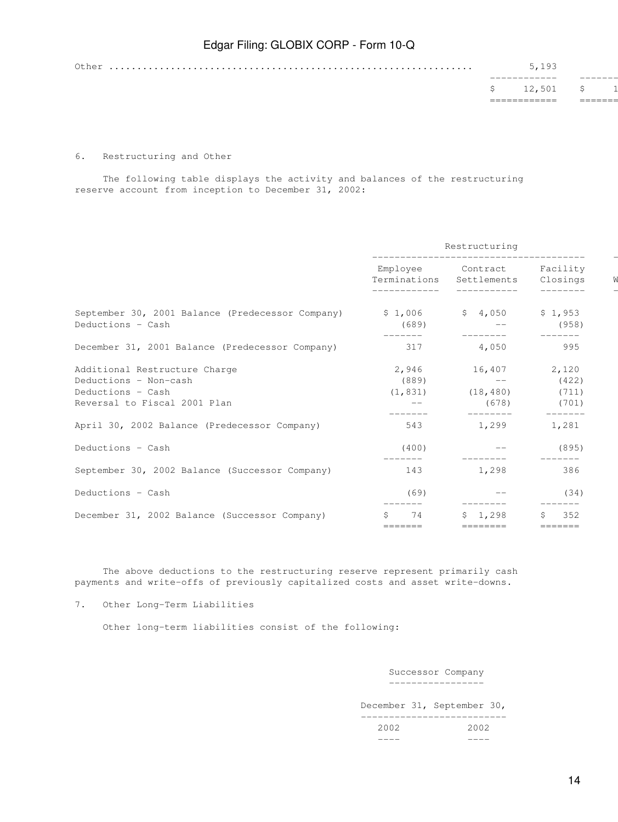|  | $$12,501$ \$ |  |
|--|--------------|--|
|  |              |  |
|  | 5,193        |  |
|  |              |  |

#### 6. Restructuring and Other

 The following table displays the activity and balances of the restructuring reserve account from inception to December 31, 2002:

|                                                                             | Restructuring<br>---------------- |                                                             |                      |
|-----------------------------------------------------------------------------|-----------------------------------|-------------------------------------------------------------|----------------------|
|                                                                             |                                   | Employee Contract<br>Terminations Settlements               | Facility<br>Closings |
| September 30, 2001 Balance (Predecessor Company)<br>Deductions - Cash       | (689)                             | $$1,006$ $$4,050$                                           | \$1,953<br>(958)     |
| December 31, 2001 Balance (Predecessor Company)                             | 317                               | 4,050                                                       | 995                  |
| Additional Restructure Charge<br>Deductions - Non-cash<br>Deductions - Cash | 2,946<br>(889)                    | 16,407 2,120<br>$\qquad \qquad -$<br>$(1, 831)$ $(18, 480)$ | (422)<br>(711)       |
| Reversal to Fiscal 2001 Plan                                                |                                   | (678)                                                       | (701)                |
| April 30, 2002 Balance (Predecessor Company)                                | 543                               | 1,299                                                       | 1,281                |
| Deductions - Cash                                                           | (400)                             |                                                             | (895)                |
| September 30, 2002 Balance (Successor Company)                              | 143                               | 1,298                                                       | 386                  |
| Deductions - Cash                                                           | (69)                              |                                                             | (34)                 |
| December 31, 2002 Balance (Successor Company)                               | 74<br>=======                     | 1,298<br>=======                                            | 352<br>=======       |

 The above deductions to the restructuring reserve represent primarily cash payments and write-offs of previously capitalized costs and asset write-downs.

---- ----

7. Other Long-Term Liabilities

Other long-term liabilities consist of the following:

#### Successor Company -----------------

 December 31, September 30, -------------------------- 2002 2002

14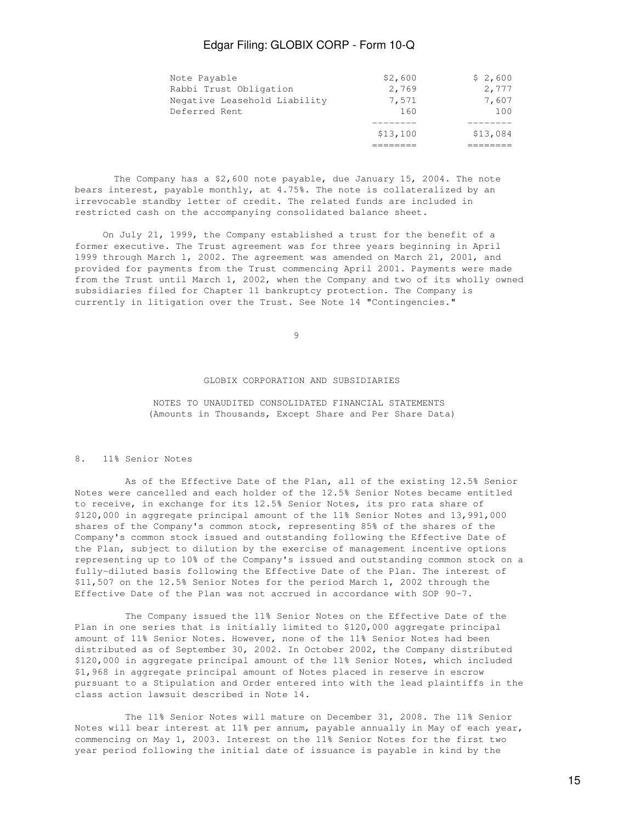|                              | \$13,100 | \$13,084 |
|------------------------------|----------|----------|
|                              |          |          |
| Deferred Rent                | 160      | 100      |
| Negative Leasehold Liability | 7,571    | 7,607    |
| Rabbi Trust Obligation       | 2,769    | 2,777    |
| Note Payable                 | \$2,600  | \$2,600  |

 The Company has a \$2,600 note payable, due January 15, 2004. The note bears interest, payable monthly, at 4.75%. The note is collateralized by an irrevocable standby letter of credit. The related funds are included in restricted cash on the accompanying consolidated balance sheet.

 On July 21, 1999, the Company established a trust for the benefit of a former executive. The Trust agreement was for three years beginning in April 1999 through March 1, 2002. The agreement was amended on March 21, 2001, and provided for payments from the Trust commencing April 2001. Payments were made from the Trust until March 1, 2002, when the Company and two of its wholly owned subsidiaries filed for Chapter 11 bankruptcy protection. The Company is currently in litigation over the Trust. See Note 14 "Contingencies."

9

#### GLOBIX CORPORATION AND SUBSIDIARIES

 NOTES TO UNAUDITED CONSOLIDATED FINANCIAL STATEMENTS (Amounts in Thousands, Except Share and Per Share Data)

### 8. 11% Senior Notes

 As of the Effective Date of the Plan, all of the existing 12.5% Senior Notes were cancelled and each holder of the 12.5% Senior Notes became entitled to receive, in exchange for its 12.5% Senior Notes, its pro rata share of \$120,000 in aggregate principal amount of the 11% Senior Notes and 13,991,000 shares of the Company's common stock, representing 85% of the shares of the Company's common stock issued and outstanding following the Effective Date of the Plan, subject to dilution by the exercise of management incentive options representing up to 10% of the Company's issued and outstanding common stock on a fully-diluted basis following the Effective Date of the Plan. The interest of \$11,507 on the 12.5% Senior Notes for the period March 1, 2002 through the Effective Date of the Plan was not accrued in accordance with SOP 90-7.

 The Company issued the 11% Senior Notes on the Effective Date of the Plan in one series that is initially limited to \$120,000 aggregate principal amount of 11% Senior Notes. However, none of the 11% Senior Notes had been distributed as of September 30, 2002. In October 2002, the Company distributed \$120,000 in aggregate principal amount of the 11% Senior Notes, which included \$1,968 in aggregate principal amount of Notes placed in reserve in escrow pursuant to a Stipulation and Order entered into with the lead plaintiffs in the class action lawsuit described in Note 14.

 The 11% Senior Notes will mature on December 31, 2008. The 11% Senior Notes will bear interest at 11% per annum, payable annually in May of each year, commencing on May 1, 2003. Interest on the 11% Senior Notes for the first two year period following the initial date of issuance is payable in kind by the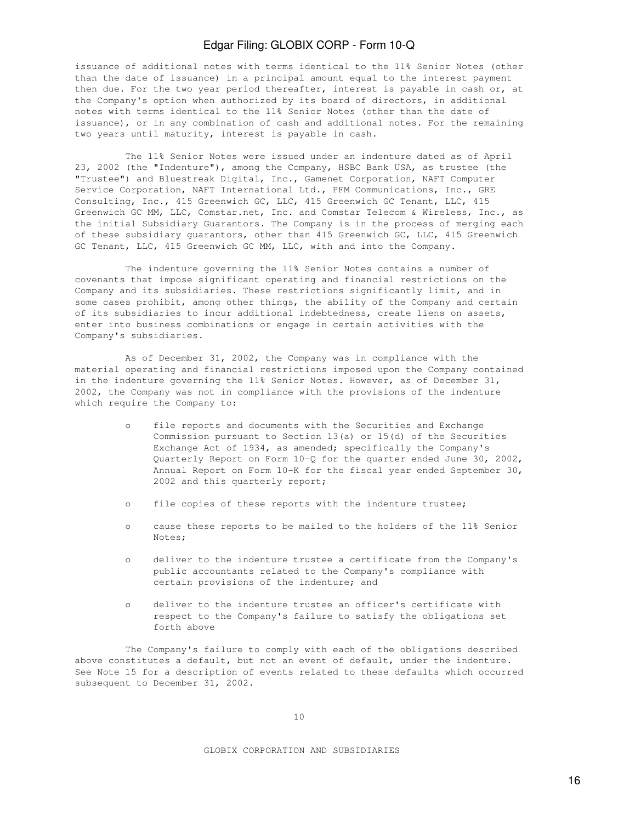issuance of additional notes with terms identical to the 11% Senior Notes (other than the date of issuance) in a principal amount equal to the interest payment then due. For the two year period thereafter, interest is payable in cash or, at the Company's option when authorized by its board of directors, in additional notes with terms identical to the 11% Senior Notes (other than the date of issuance), or in any combination of cash and additional notes. For the remaining two years until maturity, interest is payable in cash.

 The 11% Senior Notes were issued under an indenture dated as of April 23, 2002 (the "Indenture"), among the Company, HSBC Bank USA, as trustee (the "Trustee") and Bluestreak Digital, Inc., Gamenet Corporation, NAFT Computer Service Corporation, NAFT International Ltd., PFM Communications, Inc., GRE Consulting, Inc., 415 Greenwich GC, LLC, 415 Greenwich GC Tenant, LLC, 415 Greenwich GC MM, LLC, Comstar.net, Inc. and Comstar Telecom & Wireless, Inc., as the initial Subsidiary Guarantors. The Company is in the process of merging each of these subsidiary guarantors, other than 415 Greenwich GC, LLC, 415 Greenwich GC Tenant, LLC, 415 Greenwich GC MM, LLC, with and into the Company.

 The indenture governing the 11% Senior Notes contains a number of covenants that impose significant operating and financial restrictions on the Company and its subsidiaries. These restrictions significantly limit, and in some cases prohibit, among other things, the ability of the Company and certain of its subsidiaries to incur additional indebtedness, create liens on assets, enter into business combinations or engage in certain activities with the Company's subsidiaries.

 As of December 31, 2002, the Company was in compliance with the material operating and financial restrictions imposed upon the Company contained in the indenture governing the 11% Senior Notes. However, as of December 31, 2002, the Company was not in compliance with the provisions of the indenture which require the Company to:

- o file reports and documents with the Securities and Exchange Commission pursuant to Section 13(a) or 15(d) of the Securities Exchange Act of 1934, as amended; specifically the Company's Quarterly Report on Form 10-Q for the quarter ended June 30, 2002, Annual Report on Form 10-K for the fiscal year ended September 30, 2002 and this quarterly report;
- o file copies of these reports with the indenture trustee;
- o cause these reports to be mailed to the holders of the 11% Senior Notes;
- o deliver to the indenture trustee a certificate from the Company's public accountants related to the Company's compliance with certain provisions of the indenture; and
- o deliver to the indenture trustee an officer's certificate with respect to the Company's failure to satisfy the obligations set forth above

 The Company's failure to comply with each of the obligations described above constitutes a default, but not an event of default, under the indenture. See Note 15 for a description of events related to these defaults which occurred subsequent to December 31, 2002.

GLOBIX CORPORATION AND SUBSIDIARIES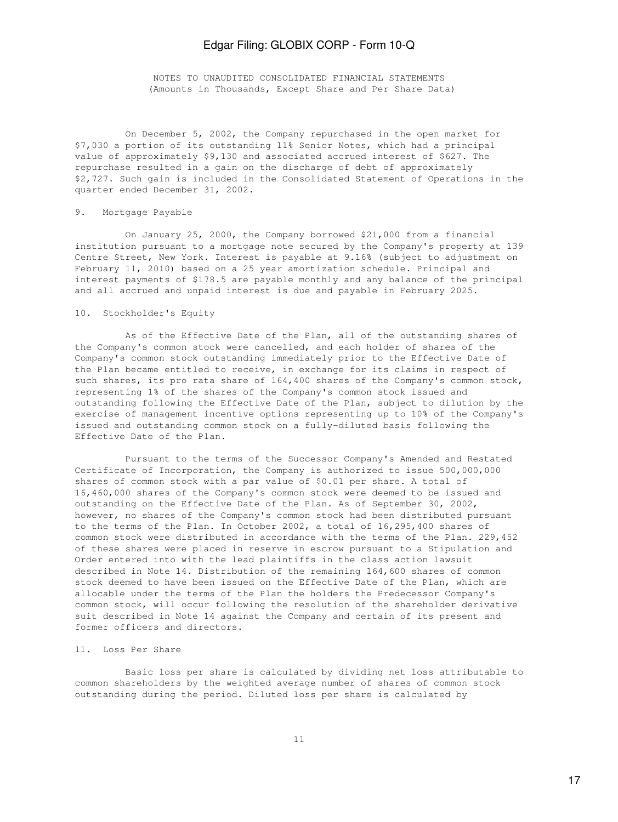NOTES TO UNAUDITED CONSOLIDATED FINANCIAL STATEMENTS (Amounts in Thousands, Except Share and Per Share Data)

 On December 5, 2002, the Company repurchased in the open market for \$7,030 a portion of its outstanding 11% Senior Notes, which had a principal value of approximately \$9,130 and associated accrued interest of \$627. The repurchase resulted in a gain on the discharge of debt of approximately \$2,727. Such gain is included in the Consolidated Statement of Operations in the quarter ended December 31, 2002.

### 9. Mortgage Payable

 On January 25, 2000, the Company borrowed \$21,000 from a financial institution pursuant to a mortgage note secured by the Company's property at 139 Centre Street, New York. Interest is payable at 9.16% (subject to adjustment on February 11, 2010) based on a 25 year amortization schedule. Principal and interest payments of \$178.5 are payable monthly and any balance of the principal and all accrued and unpaid interest is due and payable in February 2025.

### 10. Stockholder's Equity

 As of the Effective Date of the Plan, all of the outstanding shares of the Company's common stock were cancelled, and each holder of shares of the Company's common stock outstanding immediately prior to the Effective Date of the Plan became entitled to receive, in exchange for its claims in respect of such shares, its pro rata share of 164,400 shares of the Company's common stock, representing 1% of the shares of the Company's common stock issued and outstanding following the Effective Date of the Plan, subject to dilution by the exercise of management incentive options representing up to 10% of the Company's issued and outstanding common stock on a fully-diluted basis following the Effective Date of the Plan.

 Pursuant to the terms of the Successor Company's Amended and Restated Certificate of Incorporation, the Company is authorized to issue 500,000,000 shares of common stock with a par value of \$0.01 per share. A total of 16,460,000 shares of the Company's common stock were deemed to be issued and outstanding on the Effective Date of the Plan. As of September 30, 2002, however, no shares of the Company's common stock had been distributed pursuant to the terms of the Plan. In October 2002, a total of 16,295,400 shares of common stock were distributed in accordance with the terms of the Plan. 229,452 of these shares were placed in reserve in escrow pursuant to a Stipulation and Order entered into with the lead plaintiffs in the class action lawsuit described in Note 14. Distribution of the remaining 164,600 shares of common stock deemed to have been issued on the Effective Date of the Plan, which are allocable under the terms of the Plan the holders the Predecessor Company's common stock, will occur following the resolution of the shareholder derivative suit described in Note 14 against the Company and certain of its present and former officers and directors.

### 11. Loss Per Share

 Basic loss per share is calculated by dividing net loss attributable to common shareholders by the weighted average number of shares of common stock outstanding during the period. Diluted loss per share is calculated by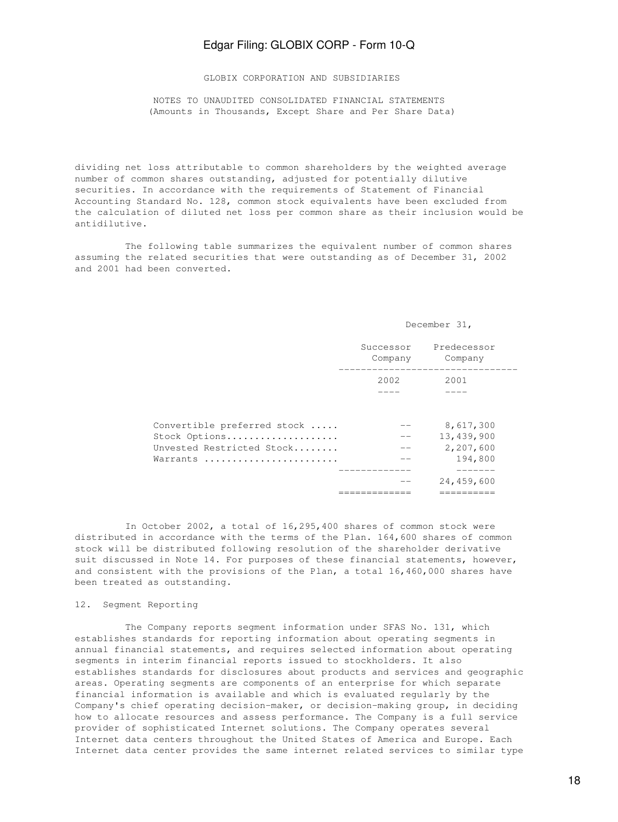GLOBIX CORPORATION AND SUBSIDIARIES

 NOTES TO UNAUDITED CONSOLIDATED FINANCIAL STATEMENTS (Amounts in Thousands, Except Share and Per Share Data)

dividing net loss attributable to common shareholders by the weighted average number of common shares outstanding, adjusted for potentially dilutive securities. In accordance with the requirements of Statement of Financial Accounting Standard No. 128, common stock equivalents have been excluded from the calculation of diluted net loss per common share as their inclusion would be antidilutive.

 The following table summarizes the equivalent number of common shares assuming the related securities that were outstanding as of December 31, 2002 and 2001 had been converted.

#### December 31,

|                                                                                       | Successor<br>Company | Predecessor<br>Company                          |
|---------------------------------------------------------------------------------------|----------------------|-------------------------------------------------|
|                                                                                       | 2002                 | 2001                                            |
| Convertible preferred stock<br>Stock Options<br>Unvested Restricted Stock<br>Warrants | --                   | 8,617,300<br>13,439,900<br>2,207,600<br>194,800 |
|                                                                                       |                      | 24,459,600                                      |

 In October 2002, a total of 16,295,400 shares of common stock were distributed in accordance with the terms of the Plan. 164,600 shares of common stock will be distributed following resolution of the shareholder derivative suit discussed in Note 14. For purposes of these financial statements, however, and consistent with the provisions of the Plan, a total 16,460,000 shares have been treated as outstanding.

#### 12. Segment Reporting

 The Company reports segment information under SFAS No. 131, which establishes standards for reporting information about operating segments in annual financial statements, and requires selected information about operating segments in interim financial reports issued to stockholders. It also establishes standards for disclosures about products and services and geographic areas. Operating segments are components of an enterprise for which separate financial information is available and which is evaluated regularly by the Company's chief operating decision-maker, or decision-making group, in deciding how to allocate resources and assess performance. The Company is a full service provider of sophisticated Internet solutions. The Company operates several Internet data centers throughout the United States of America and Europe. Each Internet data center provides the same internet related services to similar type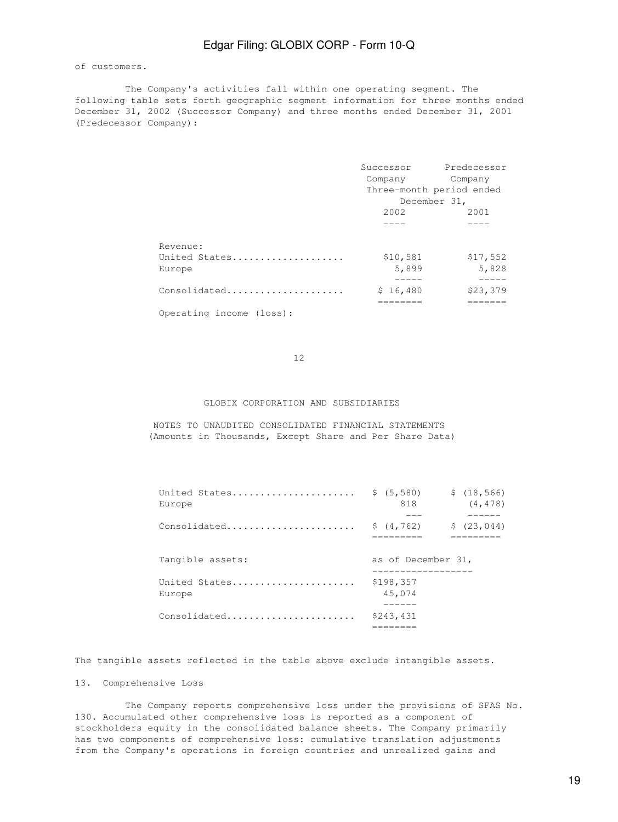#### of customers.

 The Company's activities fall within one operating segment. The following table sets forth geographic segment information for three months ended December 31, 2002 (Successor Company) and three months ended December 31, 2001 (Predecessor Company):

|                          |          | Successor Predecessor    |
|--------------------------|----------|--------------------------|
|                          | Company  | Company                  |
|                          |          | Three-month period ended |
|                          |          | December 31,             |
|                          | 2002     | 2001                     |
|                          |          |                          |
| Revenue:                 |          |                          |
| United States            | \$10,581 | \$17,552                 |
| Europe                   | 5,899    | 5,828                    |
|                          |          |                          |
| Consolidated             | \$16,480 | \$23,379                 |
|                          |          |                          |
| Operating income (loss): |          |                          |

12

#### GLOBIX CORPORATION AND SUBSIDIARIES

 NOTES TO UNAUDITED CONSOLIDATED FINANCIAL STATEMENTS (Amounts in Thousands, Except Share and Per Share Data)

| United States $\frac{2}{5}$ (5,580)<br>Europe | \$(18, 566)<br>818<br>(4, 478) |
|-----------------------------------------------|--------------------------------|
| Consolidated                                  | \$(4, 762)<br>\$(23, 044)      |
| Tangible assets:                              | as of December 31,             |
| United States<br>Europe                       | \$198,357<br>45,074            |
| Consolidated                                  | \$243,431                      |

The tangible assets reflected in the table above exclude intangible assets.

### 13. Comprehensive Loss

 The Company reports comprehensive loss under the provisions of SFAS No. 130. Accumulated other comprehensive loss is reported as a component of stockholders equity in the consolidated balance sheets. The Company primarily has two components of comprehensive loss: cumulative translation adjustments from the Company's operations in foreign countries and unrealized gains and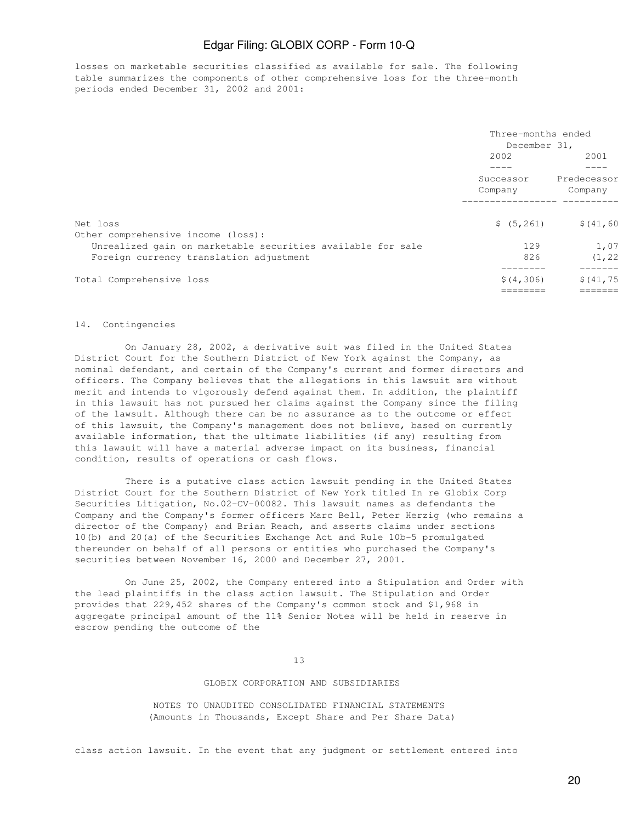losses on marketable securities classified as available for sale. The following table summarizes the components of other comprehensive loss for the three-month periods ended December 31, 2002 and 2001:

|                                                             | Three-months ended<br>December 31, |                                |  |
|-------------------------------------------------------------|------------------------------------|--------------------------------|--|
|                                                             | 2002                               | 2001<br>Predecessor<br>Company |  |
|                                                             | Successor<br>Company               |                                |  |
|                                                             |                                    |                                |  |
| Net loss                                                    | \$ (5, 261)                        | \$(41, 60)                     |  |
| Other comprehensive income (loss):                          |                                    |                                |  |
| Unrealized gain on marketable securities available for sale | 129                                | 1,07                           |  |
| Foreign currency translation adjustment                     | 826                                | (1, 22)                        |  |
| Total Comprehensive loss                                    | \$(4, 306)                         | \$(41, 75)                     |  |
|                                                             |                                    | =====                          |  |

#### 14. Contingencies

 On January 28, 2002, a derivative suit was filed in the United States District Court for the Southern District of New York against the Company, as nominal defendant, and certain of the Company's current and former directors and officers. The Company believes that the allegations in this lawsuit are without merit and intends to vigorously defend against them. In addition, the plaintiff in this lawsuit has not pursued her claims against the Company since the filing of the lawsuit. Although there can be no assurance as to the outcome or effect of this lawsuit, the Company's management does not believe, based on currently available information, that the ultimate liabilities (if any) resulting from this lawsuit will have a material adverse impact on its business, financial condition, results of operations or cash flows.

 There is a putative class action lawsuit pending in the United States District Court for the Southern District of New York titled In re Globix Corp Securities Litigation, No.02-CV-00082. This lawsuit names as defendants the Company and the Company's former officers Marc Bell, Peter Herzig (who remains a director of the Company) and Brian Reach, and asserts claims under sections 10(b) and 20(a) of the Securities Exchange Act and Rule 10b-5 promulgated thereunder on behalf of all persons or entities who purchased the Company's securities between November 16, 2000 and December 27, 2001.

 On June 25, 2002, the Company entered into a Stipulation and Order with the lead plaintiffs in the class action lawsuit. The Stipulation and Order provides that 229,452 shares of the Company's common stock and \$1,968 in aggregate principal amount of the 11% Senior Notes will be held in reserve in escrow pending the outcome of the

13

#### GLOBIX CORPORATION AND SUBSIDIARIES

 NOTES TO UNAUDITED CONSOLIDATED FINANCIAL STATEMENTS (Amounts in Thousands, Except Share and Per Share Data)

class action lawsuit. In the event that any judgment or settlement entered into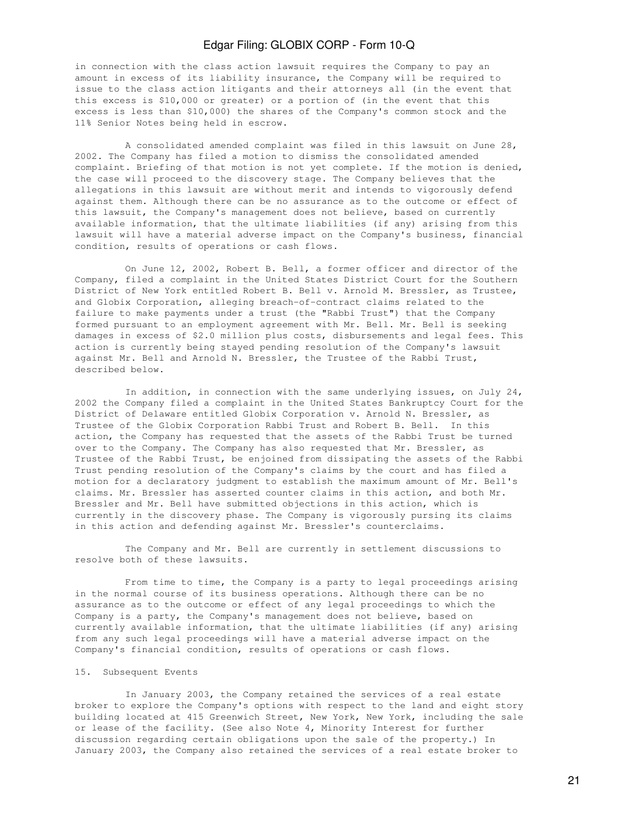in connection with the class action lawsuit requires the Company to pay an amount in excess of its liability insurance, the Company will be required to issue to the class action litigants and their attorneys all (in the event that this excess is \$10,000 or greater) or a portion of (in the event that this excess is less than \$10,000) the shares of the Company's common stock and the 11% Senior Notes being held in escrow.

 A consolidated amended complaint was filed in this lawsuit on June 28, 2002. The Company has filed a motion to dismiss the consolidated amended complaint. Briefing of that motion is not yet complete. If the motion is denied, the case will proceed to the discovery stage. The Company believes that the allegations in this lawsuit are without merit and intends to vigorously defend against them. Although there can be no assurance as to the outcome or effect of this lawsuit, the Company's management does not believe, based on currently available information, that the ultimate liabilities (if any) arising from this lawsuit will have a material adverse impact on the Company's business, financial condition, results of operations or cash flows.

 On June 12, 2002, Robert B. Bell, a former officer and director of the Company, filed a complaint in the United States District Court for the Southern District of New York entitled Robert B. Bell v. Arnold M. Bressler, as Trustee, and Globix Corporation, alleging breach-of-contract claims related to the failure to make payments under a trust (the "Rabbi Trust") that the Company formed pursuant to an employment agreement with Mr. Bell. Mr. Bell is seeking damages in excess of \$2.0 million plus costs, disbursements and legal fees. This action is currently being stayed pending resolution of the Company's lawsuit against Mr. Bell and Arnold N. Bressler, the Trustee of the Rabbi Trust, described below.

 In addition, in connection with the same underlying issues, on July 24, 2002 the Company filed a complaint in the United States Bankruptcy Court for the District of Delaware entitled Globix Corporation v. Arnold N. Bressler, as Trustee of the Globix Corporation Rabbi Trust and Robert B. Bell. In this action, the Company has requested that the assets of the Rabbi Trust be turned over to the Company. The Company has also requested that Mr. Bressler, as Trustee of the Rabbi Trust, be enjoined from dissipating the assets of the Rabbi Trust pending resolution of the Company's claims by the court and has filed a motion for a declaratory judgment to establish the maximum amount of Mr. Bell's claims. Mr. Bressler has asserted counter claims in this action, and both Mr. Bressler and Mr. Bell have submitted objections in this action, which is currently in the discovery phase. The Company is vigorously pursing its claims in this action and defending against Mr. Bressler's counterclaims.

 The Company and Mr. Bell are currently in settlement discussions to resolve both of these lawsuits.

 From time to time, the Company is a party to legal proceedings arising in the normal course of its business operations. Although there can be no assurance as to the outcome or effect of any legal proceedings to which the Company is a party, the Company's management does not believe, based on currently available information, that the ultimate liabilities (if any) arising from any such legal proceedings will have a material adverse impact on the Company's financial condition, results of operations or cash flows.

#### 15. Subsequent Events

 In January 2003, the Company retained the services of a real estate broker to explore the Company's options with respect to the land and eight story building located at 415 Greenwich Street, New York, New York, including the sale or lease of the facility. (See also Note 4, Minority Interest for further discussion regarding certain obligations upon the sale of the property.) In January 2003, the Company also retained the services of a real estate broker to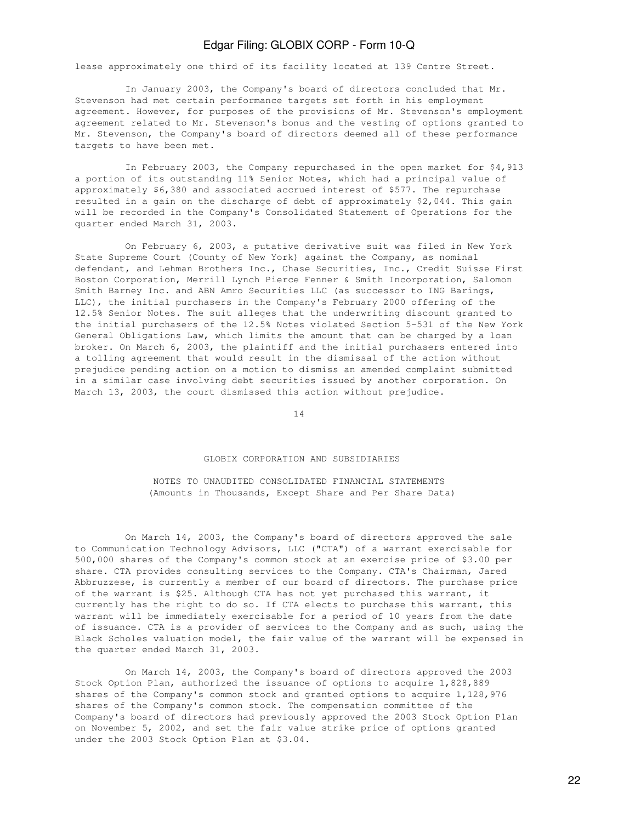lease approximately one third of its facility located at 139 Centre Street.

 In January 2003, the Company's board of directors concluded that Mr. Stevenson had met certain performance targets set forth in his employment agreement. However, for purposes of the provisions of Mr. Stevenson's employment agreement related to Mr. Stevenson's bonus and the vesting of options granted to Mr. Stevenson, the Company's board of directors deemed all of these performance targets to have been met.

 In February 2003, the Company repurchased in the open market for \$4,913 a portion of its outstanding 11% Senior Notes, which had a principal value of approximately \$6,380 and associated accrued interest of \$577. The repurchase resulted in a gain on the discharge of debt of approximately \$2,044. This gain will be recorded in the Company's Consolidated Statement of Operations for the quarter ended March 31, 2003.

 On February 6, 2003, a putative derivative suit was filed in New York State Supreme Court (County of New York) against the Company, as nominal defendant, and Lehman Brothers Inc., Chase Securities, Inc., Credit Suisse First Boston Corporation, Merrill Lynch Pierce Fenner & Smith Incorporation, Salomon Smith Barney Inc. and ABN Amro Securities LLC (as successor to ING Barings, LLC), the initial purchasers in the Company's February 2000 offering of the 12.5% Senior Notes. The suit alleges that the underwriting discount granted to the initial purchasers of the 12.5% Notes violated Section 5-531 of the New York General Obligations Law, which limits the amount that can be charged by a loan broker. On March 6, 2003, the plaintiff and the initial purchasers entered into a tolling agreement that would result in the dismissal of the action without prejudice pending action on a motion to dismiss an amended complaint submitted in a similar case involving debt securities issued by another corporation. On March 13, 2003, the court dismissed this action without prejudice.

14

#### GLOBIX CORPORATION AND SUBSIDIARIES

 NOTES TO UNAUDITED CONSOLIDATED FINANCIAL STATEMENTS (Amounts in Thousands, Except Share and Per Share Data)

 On March 14, 2003, the Company's board of directors approved the sale to Communication Technology Advisors, LLC ("CTA") of a warrant exercisable for 500,000 shares of the Company's common stock at an exercise price of \$3.00 per share. CTA provides consulting services to the Company. CTA's Chairman, Jared Abbruzzese, is currently a member of our board of directors. The purchase price of the warrant is \$25. Although CTA has not yet purchased this warrant, it currently has the right to do so. If CTA elects to purchase this warrant, this warrant will be immediately exercisable for a period of 10 years from the date of issuance. CTA is a provider of services to the Company and as such, using the Black Scholes valuation model, the fair value of the warrant will be expensed in the quarter ended March 31, 2003.

 On March 14, 2003, the Company's board of directors approved the 2003 Stock Option Plan, authorized the issuance of options to acquire 1,828,889 shares of the Company's common stock and granted options to acquire 1,128,976 shares of the Company's common stock. The compensation committee of the Company's board of directors had previously approved the 2003 Stock Option Plan on November 5, 2002, and set the fair value strike price of options granted under the 2003 Stock Option Plan at \$3.04.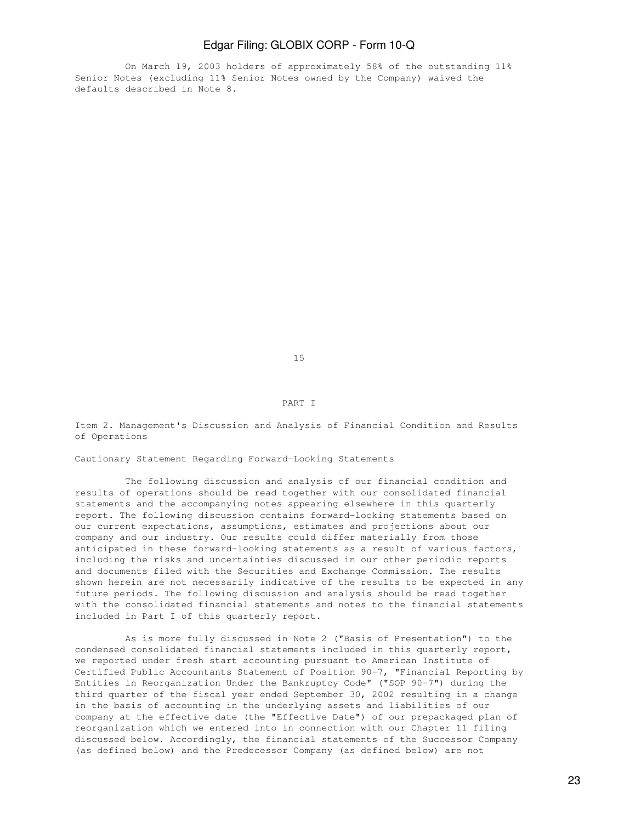On March 19, 2003 holders of approximately 58% of the outstanding 11% Senior Notes (excluding 11% Senior Notes owned by the Company) waived the defaults described in Note 8.

15

#### PART I

Item 2. Management's Discussion and Analysis of Financial Condition and Results of Operations

Cautionary Statement Regarding Forward-Looking Statements

 The following discussion and analysis of our financial condition and results of operations should be read together with our consolidated financial statements and the accompanying notes appearing elsewhere in this quarterly report. The following discussion contains forward-looking statements based on our current expectations, assumptions, estimates and projections about our company and our industry. Our results could differ materially from those anticipated in these forward-looking statements as a result of various factors, including the risks and uncertainties discussed in our other periodic reports and documents filed with the Securities and Exchange Commission. The results shown herein are not necessarily indicative of the results to be expected in any future periods. The following discussion and analysis should be read together with the consolidated financial statements and notes to the financial statements included in Part I of this quarterly report.

 As is more fully discussed in Note 2 ("Basis of Presentation") to the condensed consolidated financial statements included in this quarterly report, we reported under fresh start accounting pursuant to American Institute of Certified Public Accountants Statement of Position 90-7, "Financial Reporting by Entities in Reorganization Under the Bankruptcy Code" ("SOP 90-7") during the third quarter of the fiscal year ended September 30, 2002 resulting in a change in the basis of accounting in the underlying assets and liabilities of our company at the effective date (the "Effective Date") of our prepackaged plan of reorganization which we entered into in connection with our Chapter 11 filing discussed below. Accordingly, the financial statements of the Successor Company (as defined below) and the Predecessor Company (as defined below) are not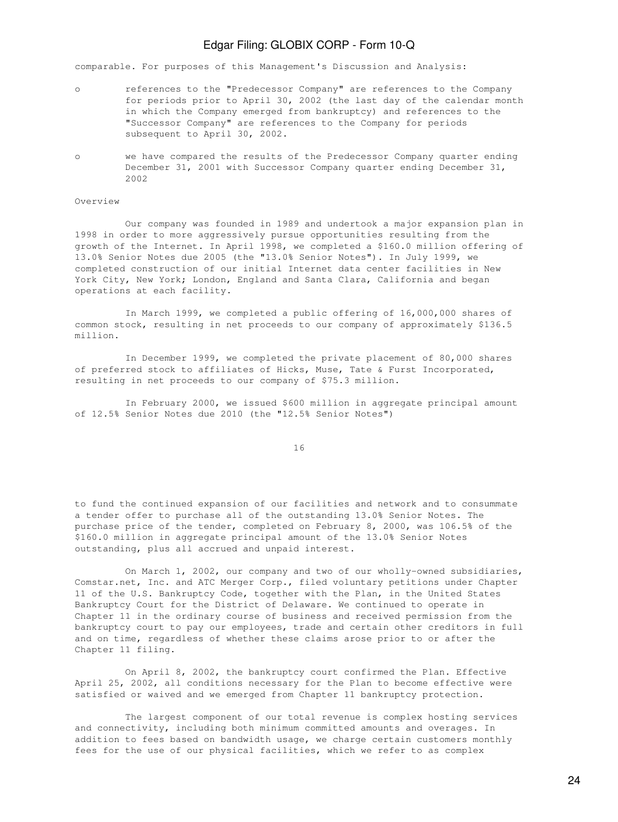comparable. For purposes of this Management's Discussion and Analysis:

- o references to the "Predecessor Company" are references to the Company for periods prior to April 30, 2002 (the last day of the calendar month in which the Company emerged from bankruptcy) and references to the "Successor Company" are references to the Company for periods subsequent to April 30, 2002.
- o we have compared the results of the Predecessor Company quarter ending December 31, 2001 with Successor Company quarter ending December 31, 2002

### Overview

 Our company was founded in 1989 and undertook a major expansion plan in 1998 in order to more aggressively pursue opportunities resulting from the growth of the Internet. In April 1998, we completed a \$160.0 million offering of 13.0% Senior Notes due 2005 (the "13.0% Senior Notes"). In July 1999, we completed construction of our initial Internet data center facilities in New York City, New York; London, England and Santa Clara, California and began operations at each facility.

 In March 1999, we completed a public offering of 16,000,000 shares of common stock, resulting in net proceeds to our company of approximately \$136.5 million.

 In December 1999, we completed the private placement of 80,000 shares of preferred stock to affiliates of Hicks, Muse, Tate & Furst Incorporated, resulting in net proceeds to our company of \$75.3 million.

 In February 2000, we issued \$600 million in aggregate principal amount of 12.5% Senior Notes due 2010 (the "12.5% Senior Notes")

16

to fund the continued expansion of our facilities and network and to consummate a tender offer to purchase all of the outstanding 13.0% Senior Notes. The purchase price of the tender, completed on February 8, 2000, was 106.5% of the \$160.0 million in aggregate principal amount of the 13.0% Senior Notes outstanding, plus all accrued and unpaid interest.

 On March 1, 2002, our company and two of our wholly-owned subsidiaries, Comstar.net, Inc. and ATC Merger Corp., filed voluntary petitions under Chapter 11 of the U.S. Bankruptcy Code, together with the Plan, in the United States Bankruptcy Court for the District of Delaware. We continued to operate in Chapter 11 in the ordinary course of business and received permission from the bankruptcy court to pay our employees, trade and certain other creditors in full and on time, regardless of whether these claims arose prior to or after the Chapter 11 filing.

 On April 8, 2002, the bankruptcy court confirmed the Plan. Effective April 25, 2002, all conditions necessary for the Plan to become effective were satisfied or waived and we emerged from Chapter 11 bankruptcy protection.

 The largest component of our total revenue is complex hosting services and connectivity, including both minimum committed amounts and overages. In addition to fees based on bandwidth usage, we charge certain customers monthly fees for the use of our physical facilities, which we refer to as complex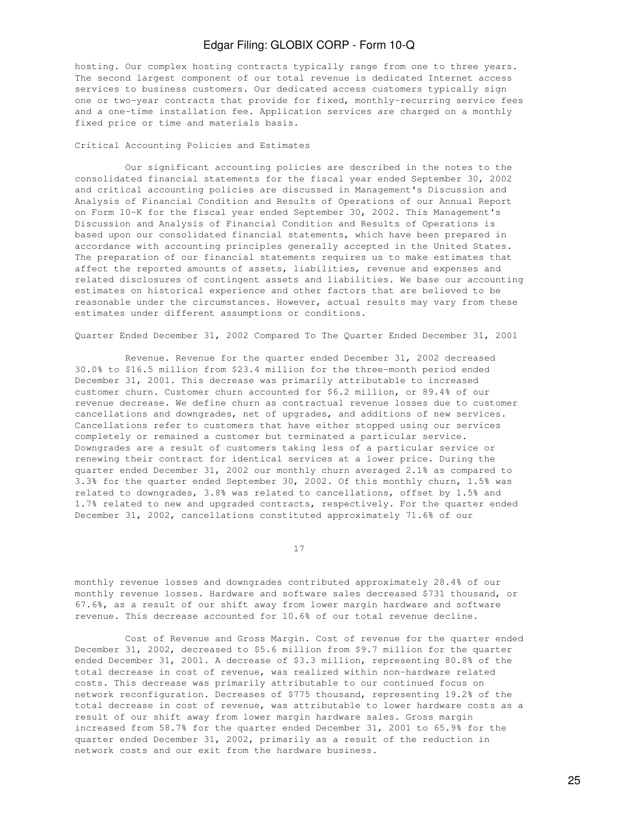hosting. Our complex hosting contracts typically range from one to three years. The second largest component of our total revenue is dedicated Internet access services to business customers. Our dedicated access customers typically sign one or two-year contracts that provide for fixed, monthly-recurring service fees and a one-time installation fee. Application services are charged on a monthly fixed price or time and materials basis.

Critical Accounting Policies and Estimates

 Our significant accounting policies are described in the notes to the consolidated financial statements for the fiscal year ended September 30, 2002 and critical accounting policies are discussed in Management's Discussion and Analysis of Financial Condition and Results of Operations of our Annual Report on Form 10-K for the fiscal year ended September 30, 2002. This Management's Discussion and Analysis of Financial Condition and Results of Operations is based upon our consolidated financial statements, which have been prepared in accordance with accounting principles generally accepted in the United States. The preparation of our financial statements requires us to make estimates that affect the reported amounts of assets, liabilities, revenue and expenses and related disclosures of contingent assets and liabilities. We base our accounting estimates on historical experience and other factors that are believed to be reasonable under the circumstances. However, actual results may vary from these estimates under different assumptions or conditions.

Quarter Ended December 31, 2002 Compared To The Quarter Ended December 31, 2001

 Revenue. Revenue for the quarter ended December 31, 2002 decreased 30.0% to \$16.5 million from \$23.4 million for the three-month period ended December 31, 2001. This decrease was primarily attributable to increased customer churn. Customer churn accounted for \$6.2 million, or 89.4% of our revenue decrease. We define churn as contractual revenue losses due to customer cancellations and downgrades, net of upgrades, and additions of new services. Cancellations refer to customers that have either stopped using our services completely or remained a customer but terminated a particular service. Downgrades are a result of customers taking less of a particular service or renewing their contract for identical services at a lower price. During the quarter ended December 31, 2002 our monthly churn averaged 2.1% as compared to 3.3% for the quarter ended September 30, 2002. Of this monthly churn, 1.5% was related to downgrades, 3.8% was related to cancellations, offset by 1.5% and 1.7% related to new and upgraded contracts, respectively. For the quarter ended December 31, 2002, cancellations constituted approximately 71.6% of our

17

monthly revenue losses and downgrades contributed approximately 28.4% of our monthly revenue losses. Hardware and software sales decreased \$731 thousand, or 67.6%, as a result of our shift away from lower margin hardware and software revenue. This decrease accounted for 10.6% of our total revenue decline.

 Cost of Revenue and Gross Margin. Cost of revenue for the quarter ended December 31, 2002, decreased to \$5.6 million from \$9.7 million for the quarter ended December 31, 2001. A decrease of \$3.3 million, representing 80.8% of the total decrease in cost of revenue, was realized within non-hardware related costs. This decrease was primarily attributable to our continued focus on network reconfiguration. Decreases of \$775 thousand, representing 19.2% of the total decrease in cost of revenue, was attributable to lower hardware costs as a result of our shift away from lower margin hardware sales. Gross margin increased from 58.7% for the quarter ended December 31, 2001 to 65.9% for the quarter ended December 31, 2002, primarily as a result of the reduction in network costs and our exit from the hardware business.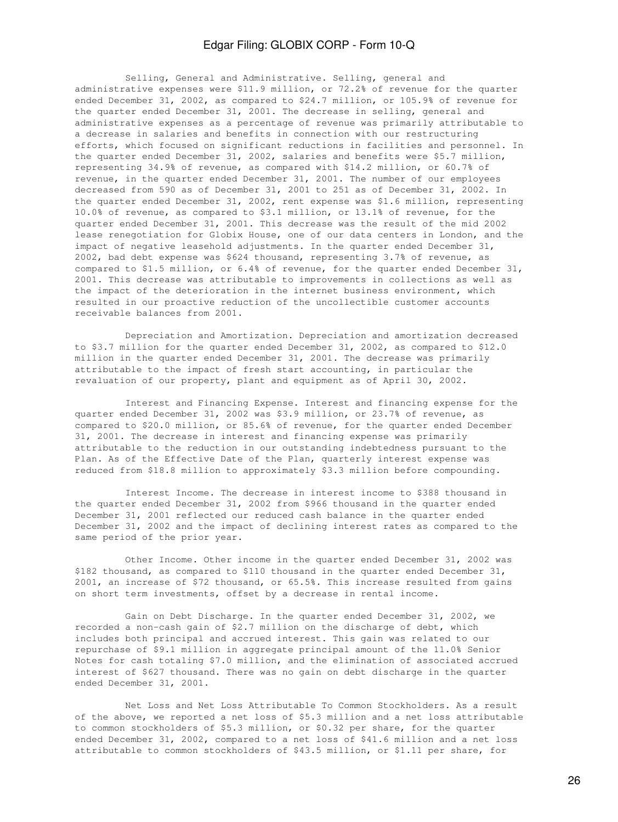Selling, General and Administrative. Selling, general and administrative expenses were \$11.9 million, or 72.2% of revenue for the quarter ended December 31, 2002, as compared to \$24.7 million, or 105.9% of revenue for the quarter ended December 31, 2001. The decrease in selling, general and administrative expenses as a percentage of revenue was primarily attributable to a decrease in salaries and benefits in connection with our restructuring efforts, which focused on significant reductions in facilities and personnel. In the quarter ended December 31, 2002, salaries and benefits were \$5.7 million, representing 34.9% of revenue, as compared with \$14.2 million, or 60.7% of revenue, in the quarter ended December 31, 2001. The number of our employees decreased from 590 as of December 31, 2001 to 251 as of December 31, 2002. In the quarter ended December 31, 2002, rent expense was \$1.6 million, representing 10.0% of revenue, as compared to \$3.1 million, or 13.1% of revenue, for the quarter ended December 31, 2001. This decrease was the result of the mid 2002 lease renegotiation for Globix House, one of our data centers in London, and the impact of negative leasehold adjustments. In the quarter ended December 31, 2002, bad debt expense was \$624 thousand, representing 3.7% of revenue, as compared to \$1.5 million, or 6.4% of revenue, for the quarter ended December 31, 2001. This decrease was attributable to improvements in collections as well as the impact of the deterioration in the internet business environment, which resulted in our proactive reduction of the uncollectible customer accounts receivable balances from 2001.

 Depreciation and Amortization. Depreciation and amortization decreased to \$3.7 million for the quarter ended December 31, 2002, as compared to \$12.0 million in the quarter ended December 31, 2001. The decrease was primarily attributable to the impact of fresh start accounting, in particular the revaluation of our property, plant and equipment as of April 30, 2002.

 Interest and Financing Expense. Interest and financing expense for the quarter ended December 31, 2002 was \$3.9 million, or 23.7% of revenue, as compared to \$20.0 million, or 85.6% of revenue, for the quarter ended December 31, 2001. The decrease in interest and financing expense was primarily attributable to the reduction in our outstanding indebtedness pursuant to the Plan. As of the Effective Date of the Plan, quarterly interest expense was reduced from \$18.8 million to approximately \$3.3 million before compounding.

 Interest Income. The decrease in interest income to \$388 thousand in the quarter ended December 31, 2002 from \$966 thousand in the quarter ended December 31, 2001 reflected our reduced cash balance in the quarter ended December 31, 2002 and the impact of declining interest rates as compared to the same period of the prior year.

 Other Income. Other income in the quarter ended December 31, 2002 was \$182 thousand, as compared to \$110 thousand in the quarter ended December 31, 2001, an increase of \$72 thousand, or 65.5%. This increase resulted from gains on short term investments, offset by a decrease in rental income.

 Gain on Debt Discharge. In the quarter ended December 31, 2002, we recorded a non-cash gain of \$2.7 million on the discharge of debt, which includes both principal and accrued interest. This gain was related to our repurchase of \$9.1 million in aggregate principal amount of the 11.0% Senior Notes for cash totaling \$7.0 million, and the elimination of associated accrued interest of \$627 thousand. There was no gain on debt discharge in the quarter ended December 31, 2001.

 Net Loss and Net Loss Attributable To Common Stockholders. As a result of the above, we reported a net loss of \$5.3 million and a net loss attributable to common stockholders of \$5.3 million, or \$0.32 per share, for the quarter ended December 31, 2002, compared to a net loss of \$41.6 million and a net loss attributable to common stockholders of \$43.5 million, or \$1.11 per share, for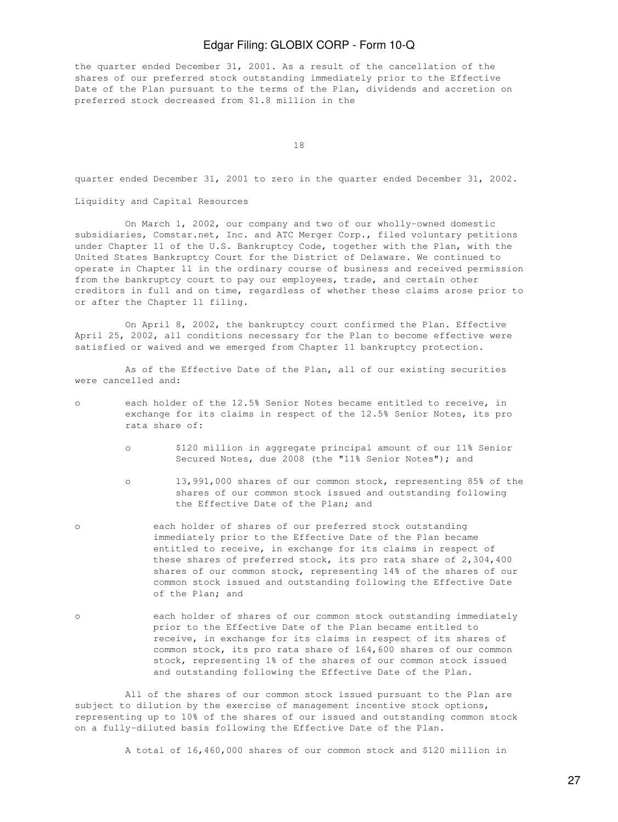the quarter ended December 31, 2001. As a result of the cancellation of the shares of our preferred stock outstanding immediately prior to the Effective Date of the Plan pursuant to the terms of the Plan, dividends and accretion on preferred stock decreased from \$1.8 million in the

18

quarter ended December 31, 2001 to zero in the quarter ended December 31, 2002.

Liquidity and Capital Resources

 On March 1, 2002, our company and two of our wholly-owned domestic subsidiaries, Comstar.net, Inc. and ATC Merger Corp., filed voluntary petitions under Chapter 11 of the U.S. Bankruptcy Code, together with the Plan, with the United States Bankruptcy Court for the District of Delaware. We continued to operate in Chapter 11 in the ordinary course of business and received permission from the bankruptcy court to pay our employees, trade, and certain other creditors in full and on time, regardless of whether these claims arose prior to or after the Chapter 11 filing.

 On April 8, 2002, the bankruptcy court confirmed the Plan. Effective April 25, 2002, all conditions necessary for the Plan to become effective were satisfied or waived and we emerged from Chapter 11 bankruptcy protection.

 As of the Effective Date of the Plan, all of our existing securities were cancelled and:

- o each holder of the 12.5% Senior Notes became entitled to receive, in exchange for its claims in respect of the 12.5% Senior Notes, its pro rata share of:
	- o \$120 million in aggregate principal amount of our 11% Senior Secured Notes, due 2008 (the "11% Senior Notes"); and
	- o 13,991,000 shares of our common stock, representing 85% of the shares of our common stock issued and outstanding following the Effective Date of the Plan; and
- o each holder of shares of our preferred stock outstanding immediately prior to the Effective Date of the Plan became entitled to receive, in exchange for its claims in respect of these shares of preferred stock, its pro rata share of 2,304,400 shares of our common stock, representing 14% of the shares of our common stock issued and outstanding following the Effective Date of the Plan; and
- o each holder of shares of our common stock outstanding immediately prior to the Effective Date of the Plan became entitled to receive, in exchange for its claims in respect of its shares of common stock, its pro rata share of 164,600 shares of our common stock, representing 1% of the shares of our common stock issued and outstanding following the Effective Date of the Plan.

 All of the shares of our common stock issued pursuant to the Plan are subject to dilution by the exercise of management incentive stock options, representing up to 10% of the shares of our issued and outstanding common stock on a fully-diluted basis following the Effective Date of the Plan.

A total of 16,460,000 shares of our common stock and \$120 million in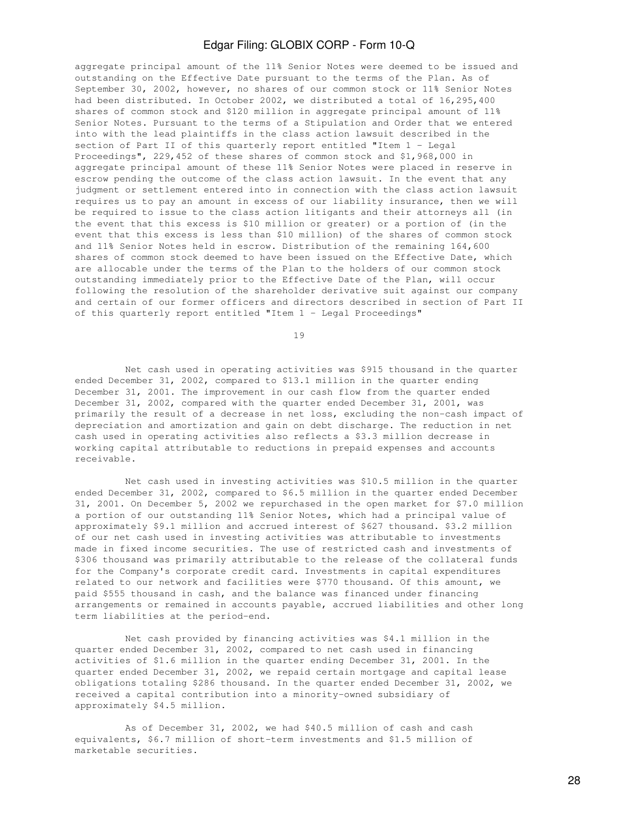aggregate principal amount of the 11% Senior Notes were deemed to be issued and outstanding on the Effective Date pursuant to the terms of the Plan. As of September 30, 2002, however, no shares of our common stock or 11% Senior Notes had been distributed. In October 2002, we distributed a total of 16,295,400 shares of common stock and \$120 million in aggregate principal amount of 11% Senior Notes. Pursuant to the terms of a Stipulation and Order that we entered into with the lead plaintiffs in the class action lawsuit described in the section of Part II of this quarterly report entitled "Item 1 - Legal Proceedings", 229,452 of these shares of common stock and \$1,968,000 in aggregate principal amount of these 11% Senior Notes were placed in reserve in escrow pending the outcome of the class action lawsuit. In the event that any judgment or settlement entered into in connection with the class action lawsuit requires us to pay an amount in excess of our liability insurance, then we will be required to issue to the class action litigants and their attorneys all (in the event that this excess is \$10 million or greater) or a portion of (in the event that this excess is less than \$10 million) of the shares of common stock and 11% Senior Notes held in escrow. Distribution of the remaining 164,600 shares of common stock deemed to have been issued on the Effective Date, which are allocable under the terms of the Plan to the holders of our common stock outstanding immediately prior to the Effective Date of the Plan, will occur following the resolution of the shareholder derivative suit against our company and certain of our former officers and directors described in section of Part II of this quarterly report entitled "Item 1 - Legal Proceedings"

19

 Net cash used in operating activities was \$915 thousand in the quarter ended December 31, 2002, compared to \$13.1 million in the quarter ending December 31, 2001. The improvement in our cash flow from the quarter ended December 31, 2002, compared with the quarter ended December 31, 2001, was primarily the result of a decrease in net loss, excluding the non-cash impact of depreciation and amortization and gain on debt discharge. The reduction in net cash used in operating activities also reflects a \$3.3 million decrease in working capital attributable to reductions in prepaid expenses and accounts receivable.

 Net cash used in investing activities was \$10.5 million in the quarter ended December 31, 2002, compared to \$6.5 million in the quarter ended December 31, 2001. On December 5, 2002 we repurchased in the open market for \$7.0 million a portion of our outstanding 11% Senior Notes, which had a principal value of approximately \$9.1 million and accrued interest of \$627 thousand. \$3.2 million of our net cash used in investing activities was attributable to investments made in fixed income securities. The use of restricted cash and investments of \$306 thousand was primarily attributable to the release of the collateral funds for the Company's corporate credit card. Investments in capital expenditures related to our network and facilities were \$770 thousand. Of this amount, we paid \$555 thousand in cash, and the balance was financed under financing arrangements or remained in accounts payable, accrued liabilities and other long term liabilities at the period-end.

 Net cash provided by financing activities was \$4.1 million in the quarter ended December 31, 2002, compared to net cash used in financing activities of \$1.6 million in the quarter ending December 31, 2001. In the quarter ended December 31, 2002, we repaid certain mortgage and capital lease obligations totaling \$286 thousand. In the quarter ended December 31, 2002, we received a capital contribution into a minority-owned subsidiary of approximately \$4.5 million.

 As of December 31, 2002, we had \$40.5 million of cash and cash equivalents, \$6.7 million of short-term investments and \$1.5 million of marketable securities.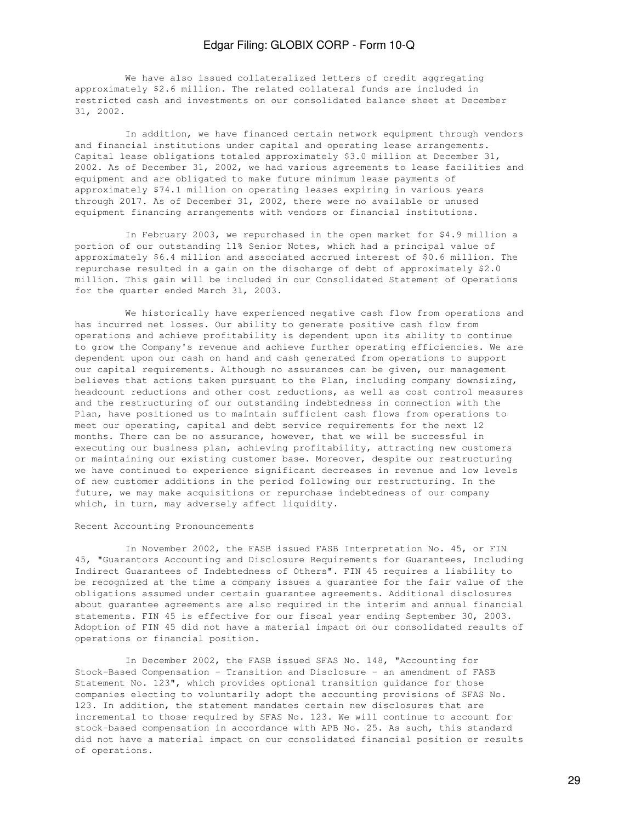We have also issued collateralized letters of credit aggregating approximately \$2.6 million. The related collateral funds are included in restricted cash and investments on our consolidated balance sheet at December 31, 2002.

 In addition, we have financed certain network equipment through vendors and financial institutions under capital and operating lease arrangements. Capital lease obligations totaled approximately \$3.0 million at December 31, 2002. As of December 31, 2002, we had various agreements to lease facilities and equipment and are obligated to make future minimum lease payments of approximately \$74.1 million on operating leases expiring in various years through 2017. As of December 31, 2002, there were no available or unused equipment financing arrangements with vendors or financial institutions.

 In February 2003, we repurchased in the open market for \$4.9 million a portion of our outstanding 11% Senior Notes, which had a principal value of approximately \$6.4 million and associated accrued interest of \$0.6 million. The repurchase resulted in a gain on the discharge of debt of approximately \$2.0 million. This gain will be included in our Consolidated Statement of Operations for the quarter ended March 31, 2003.

 We historically have experienced negative cash flow from operations and has incurred net losses. Our ability to generate positive cash flow from operations and achieve profitability is dependent upon its ability to continue to grow the Company's revenue and achieve further operating efficiencies. We are dependent upon our cash on hand and cash generated from operations to support our capital requirements. Although no assurances can be given, our management believes that actions taken pursuant to the Plan, including company downsizing, headcount reductions and other cost reductions, as well as cost control measures and the restructuring of our outstanding indebtedness in connection with the Plan, have positioned us to maintain sufficient cash flows from operations to meet our operating, capital and debt service requirements for the next 12 months. There can be no assurance, however, that we will be successful in executing our business plan, achieving profitability, attracting new customers or maintaining our existing customer base. Moreover, despite our restructuring we have continued to experience significant decreases in revenue and low levels of new customer additions in the period following our restructuring. In the future, we may make acquisitions or repurchase indebtedness of our company which, in turn, may adversely affect liquidity.

### Recent Accounting Pronouncements

 In November 2002, the FASB issued FASB Interpretation No. 45, or FIN 45, "Guarantors Accounting and Disclosure Requirements for Guarantees, Including Indirect Guarantees of Indebtedness of Others". FIN 45 requires a liability to be recognized at the time a company issues a guarantee for the fair value of the obligations assumed under certain guarantee agreements. Additional disclosures about guarantee agreements are also required in the interim and annual financial statements. FIN 45 is effective for our fiscal year ending September 30, 2003. Adoption of FIN 45 did not have a material impact on our consolidated results of operations or financial position.

 In December 2002, the FASB issued SFAS No. 148, "Accounting for Stock-Based Compensation - Transition and Disclosure - an amendment of FASB Statement No. 123", which provides optional transition guidance for those companies electing to voluntarily adopt the accounting provisions of SFAS No. 123. In addition, the statement mandates certain new disclosures that are incremental to those required by SFAS No. 123. We will continue to account for stock-based compensation in accordance with APB No. 25. As such, this standard did not have a material impact on our consolidated financial position or results of operations.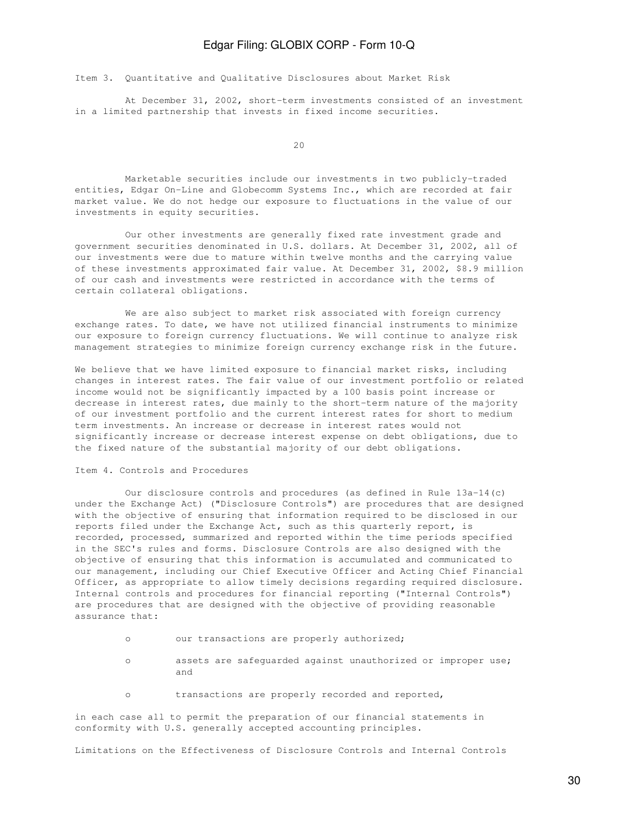Item 3. Quantitative and Qualitative Disclosures about Market Risk

 At December 31, 2002, short-term investments consisted of an investment in a limited partnership that invests in fixed income securities.

20

 Marketable securities include our investments in two publicly-traded entities, Edgar On-Line and Globecomm Systems Inc., which are recorded at fair market value. We do not hedge our exposure to fluctuations in the value of our investments in equity securities.

 Our other investments are generally fixed rate investment grade and government securities denominated in U.S. dollars. At December 31, 2002, all of our investments were due to mature within twelve months and the carrying value of these investments approximated fair value. At December 31, 2002, \$8.9 million of our cash and investments were restricted in accordance with the terms of certain collateral obligations.

 We are also subject to market risk associated with foreign currency exchange rates. To date, we have not utilized financial instruments to minimize our exposure to foreign currency fluctuations. We will continue to analyze risk management strategies to minimize foreign currency exchange risk in the future.

We believe that we have limited exposure to financial market risks, including changes in interest rates. The fair value of our investment portfolio or related income would not be significantly impacted by a 100 basis point increase or decrease in interest rates, due mainly to the short-term nature of the majority of our investment portfolio and the current interest rates for short to medium term investments. An increase or decrease in interest rates would not significantly increase or decrease interest expense on debt obligations, due to the fixed nature of the substantial majority of our debt obligations.

### Item 4. Controls and Procedures

 Our disclosure controls and procedures (as defined in Rule 13a-14(c) under the Exchange Act) ("Disclosure Controls") are procedures that are designed with the objective of ensuring that information required to be disclosed in our reports filed under the Exchange Act, such as this quarterly report, is recorded, processed, summarized and reported within the time periods specified in the SEC's rules and forms. Disclosure Controls are also designed with the objective of ensuring that this information is accumulated and communicated to our management, including our Chief Executive Officer and Acting Chief Financial Officer, as appropriate to allow timely decisions regarding required disclosure. Internal controls and procedures for financial reporting ("Internal Controls") are procedures that are designed with the objective of providing reasonable assurance that:

- o our transactions are properly authorized;
- o assets are safeguarded against unauthorized or improper use; and
- o transactions are properly recorded and reported,

in each case all to permit the preparation of our financial statements in conformity with U.S. generally accepted accounting principles.

Limitations on the Effectiveness of Disclosure Controls and Internal Controls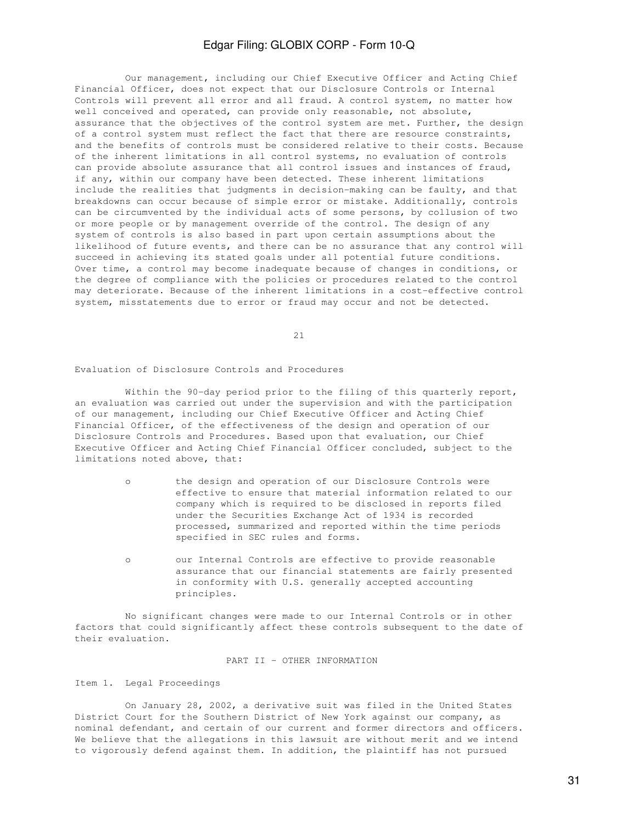Our management, including our Chief Executive Officer and Acting Chief Financial Officer, does not expect that our Disclosure Controls or Internal Controls will prevent all error and all fraud. A control system, no matter how well conceived and operated, can provide only reasonable, not absolute, assurance that the objectives of the control system are met. Further, the design of a control system must reflect the fact that there are resource constraints, and the benefits of controls must be considered relative to their costs. Because of the inherent limitations in all control systems, no evaluation of controls can provide absolute assurance that all control issues and instances of fraud, if any, within our company have been detected. These inherent limitations include the realities that judgments in decision-making can be faulty, and that breakdowns can occur because of simple error or mistake. Additionally, controls can be circumvented by the individual acts of some persons, by collusion of two or more people or by management override of the control. The design of any system of controls is also based in part upon certain assumptions about the likelihood of future events, and there can be no assurance that any control will succeed in achieving its stated goals under all potential future conditions. Over time, a control may become inadequate because of changes in conditions, or the degree of compliance with the policies or procedures related to the control may deteriorate. Because of the inherent limitations in a cost-effective control system, misstatements due to error or fraud may occur and not be detected.

21

Evaluation of Disclosure Controls and Procedures

Within the 90-day period prior to the filing of this quarterly report, an evaluation was carried out under the supervision and with the participation of our management, including our Chief Executive Officer and Acting Chief Financial Officer, of the effectiveness of the design and operation of our Disclosure Controls and Procedures. Based upon that evaluation, our Chief Executive Officer and Acting Chief Financial Officer concluded, subject to the limitations noted above, that:

- o the design and operation of our Disclosure Controls were effective to ensure that material information related to our company which is required to be disclosed in reports filed under the Securities Exchange Act of 1934 is recorded processed, summarized and reported within the time periods specified in SEC rules and forms.
- o our Internal Controls are effective to provide reasonable assurance that our financial statements are fairly presented in conformity with U.S. generally accepted accounting principles.

 No significant changes were made to our Internal Controls or in other factors that could significantly affect these controls subsequent to the date of their evaluation.

PART II - OTHER INFORMATION

Item 1. Legal Proceedings

 On January 28, 2002, a derivative suit was filed in the United States District Court for the Southern District of New York against our company, as nominal defendant, and certain of our current and former directors and officers. We believe that the allegations in this lawsuit are without merit and we intend to vigorously defend against them. In addition, the plaintiff has not pursued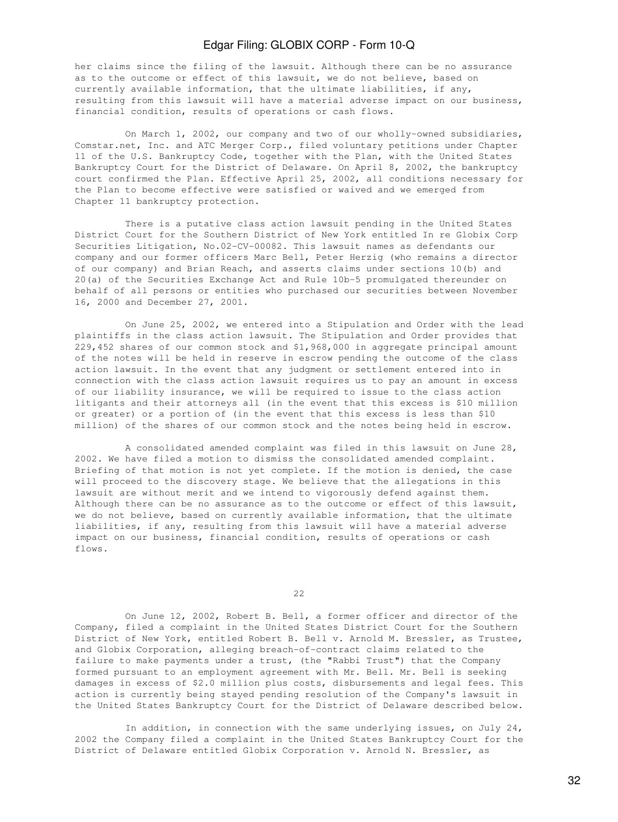her claims since the filing of the lawsuit. Although there can be no assurance as to the outcome or effect of this lawsuit, we do not believe, based on currently available information, that the ultimate liabilities, if any, resulting from this lawsuit will have a material adverse impact on our business, financial condition, results of operations or cash flows.

 On March 1, 2002, our company and two of our wholly-owned subsidiaries, Comstar.net, Inc. and ATC Merger Corp., filed voluntary petitions under Chapter 11 of the U.S. Bankruptcy Code, together with the Plan, with the United States Bankruptcy Court for the District of Delaware. On April 8, 2002, the bankruptcy court confirmed the Plan. Effective April 25, 2002, all conditions necessary for the Plan to become effective were satisfied or waived and we emerged from Chapter 11 bankruptcy protection.

 There is a putative class action lawsuit pending in the United States District Court for the Southern District of New York entitled In re Globix Corp Securities Litigation, No.02-CV-00082. This lawsuit names as defendants our company and our former officers Marc Bell, Peter Herzig (who remains a director of our company) and Brian Reach, and asserts claims under sections 10(b) and 20(a) of the Securities Exchange Act and Rule 10b-5 promulgated thereunder on behalf of all persons or entities who purchased our securities between November 16, 2000 and December 27, 2001.

 On June 25, 2002, we entered into a Stipulation and Order with the lead plaintiffs in the class action lawsuit. The Stipulation and Order provides that 229,452 shares of our common stock and \$1,968,000 in aggregate principal amount of the notes will be held in reserve in escrow pending the outcome of the class action lawsuit. In the event that any judgment or settlement entered into in connection with the class action lawsuit requires us to pay an amount in excess of our liability insurance, we will be required to issue to the class action litigants and their attorneys all (in the event that this excess is \$10 million or greater) or a portion of (in the event that this excess is less than \$10 million) of the shares of our common stock and the notes being held in escrow.

 A consolidated amended complaint was filed in this lawsuit on June 28, 2002. We have filed a motion to dismiss the consolidated amended complaint. Briefing of that motion is not yet complete. If the motion is denied, the case will proceed to the discovery stage. We believe that the allegations in this lawsuit are without merit and we intend to vigorously defend against them. Although there can be no assurance as to the outcome or effect of this lawsuit, we do not believe, based on currently available information, that the ultimate liabilities, if any, resulting from this lawsuit will have a material adverse impact on our business, financial condition, results of operations or cash flows.

<u>22</u>

 On June 12, 2002, Robert B. Bell, a former officer and director of the Company, filed a complaint in the United States District Court for the Southern District of New York, entitled Robert B. Bell v. Arnold M. Bressler, as Trustee, and Globix Corporation, alleging breach-of-contract claims related to the failure to make payments under a trust, (the "Rabbi Trust") that the Company formed pursuant to an employment agreement with Mr. Bell. Mr. Bell is seeking damages in excess of \$2.0 million plus costs, disbursements and legal fees. This action is currently being stayed pending resolution of the Company's lawsuit in the United States Bankruptcy Court for the District of Delaware described below.

 In addition, in connection with the same underlying issues, on July 24, 2002 the Company filed a complaint in the United States Bankruptcy Court for the District of Delaware entitled Globix Corporation v. Arnold N. Bressler, as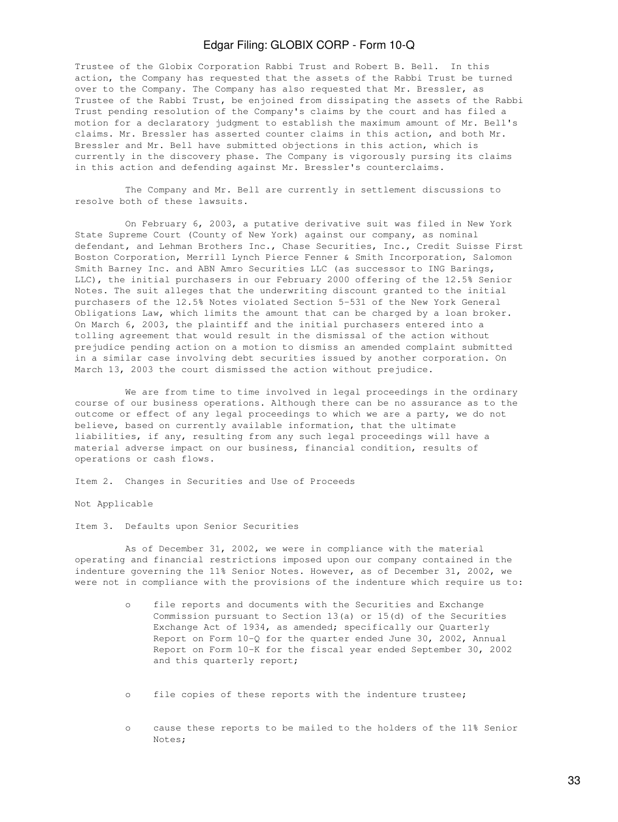Trustee of the Globix Corporation Rabbi Trust and Robert B. Bell. In this action, the Company has requested that the assets of the Rabbi Trust be turned over to the Company. The Company has also requested that Mr. Bressler, as Trustee of the Rabbi Trust, be enjoined from dissipating the assets of the Rabbi Trust pending resolution of the Company's claims by the court and has filed a motion for a declaratory judgment to establish the maximum amount of Mr. Bell's claims. Mr. Bressler has asserted counter claims in this action, and both Mr. Bressler and Mr. Bell have submitted objections in this action, which is currently in the discovery phase. The Company is vigorously pursing its claims in this action and defending against Mr. Bressler's counterclaims.

 The Company and Mr. Bell are currently in settlement discussions to resolve both of these lawsuits.

 On February 6, 2003, a putative derivative suit was filed in New York State Supreme Court (County of New York) against our company, as nominal defendant, and Lehman Brothers Inc., Chase Securities, Inc., Credit Suisse First Boston Corporation, Merrill Lynch Pierce Fenner & Smith Incorporation, Salomon Smith Barney Inc. and ABN Amro Securities LLC (as successor to ING Barings, LLC), the initial purchasers in our February 2000 offering of the 12.5% Senior Notes. The suit alleges that the underwriting discount granted to the initial purchasers of the 12.5% Notes violated Section 5-531 of the New York General Obligations Law, which limits the amount that can be charged by a loan broker. On March 6, 2003, the plaintiff and the initial purchasers entered into a tolling agreement that would result in the dismissal of the action without prejudice pending action on a motion to dismiss an amended complaint submitted in a similar case involving debt securities issued by another corporation. On March 13, 2003 the court dismissed the action without prejudice.

 We are from time to time involved in legal proceedings in the ordinary course of our business operations. Although there can be no assurance as to the outcome or effect of any legal proceedings to which we are a party, we do not believe, based on currently available information, that the ultimate liabilities, if any, resulting from any such legal proceedings will have a material adverse impact on our business, financial condition, results of operations or cash flows.

Item 2. Changes in Securities and Use of Proceeds

Not Applicable

Item 3. Defaults upon Senior Securities

 As of December 31, 2002, we were in compliance with the material operating and financial restrictions imposed upon our company contained in the indenture governing the 11% Senior Notes. However, as of December 31, 2002, we were not in compliance with the provisions of the indenture which require us to:

- o file reports and documents with the Securities and Exchange Commission pursuant to Section 13(a) or 15(d) of the Securities Exchange Act of 1934, as amended; specifically our Quarterly Report on Form 10-Q for the quarter ended June 30, 2002, Annual Report on Form 10-K for the fiscal year ended September 30, 2002 and this quarterly report;
- o file copies of these reports with the indenture trustee;
- o cause these reports to be mailed to the holders of the 11% Senior Notes;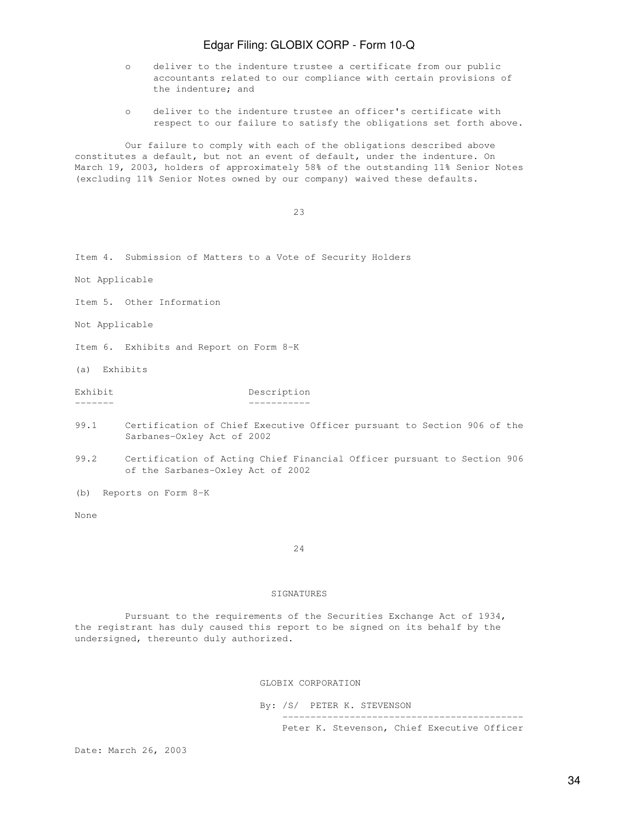- o deliver to the indenture trustee a certificate from our public accountants related to our compliance with certain provisions of the indenture; and
- o deliver to the indenture trustee an officer's certificate with respect to our failure to satisfy the obligations set forth above.

 Our failure to comply with each of the obligations described above constitutes a default, but not an event of default, under the indenture. On March 19, 2003, holders of approximately 58% of the outstanding 11% Senior Notes (excluding 11% Senior Notes owned by our company) waived these defaults.

<u>23</u>

Item 4. Submission of Matters to a Vote of Security Holders

Not Applicable

Item 5. Other Information

Not Applicable

Item 6. Exhibits and Report on Form 8-K

(a) Exhibits

Exhibit Description ------- -----------

- 99.1 Certification of Chief Executive Officer pursuant to Section 906 of the Sarbanes-Oxley Act of 2002
- 99.2 Certification of Acting Chief Financial Officer pursuant to Section 906 of the Sarbanes-Oxley Act of 2002

(b) Reports on Form 8-K

None

24

### SIGNATURES

 Pursuant to the requirements of the Securities Exchange Act of 1934, the registrant has duly caused this report to be signed on its behalf by the undersigned, thereunto duly authorized.

GLOBIX CORPORATION

By: /S/ PETER K. STEVENSON

 ------------------------------------------- Peter K. Stevenson, Chief Executive Officer

Date: March 26, 2003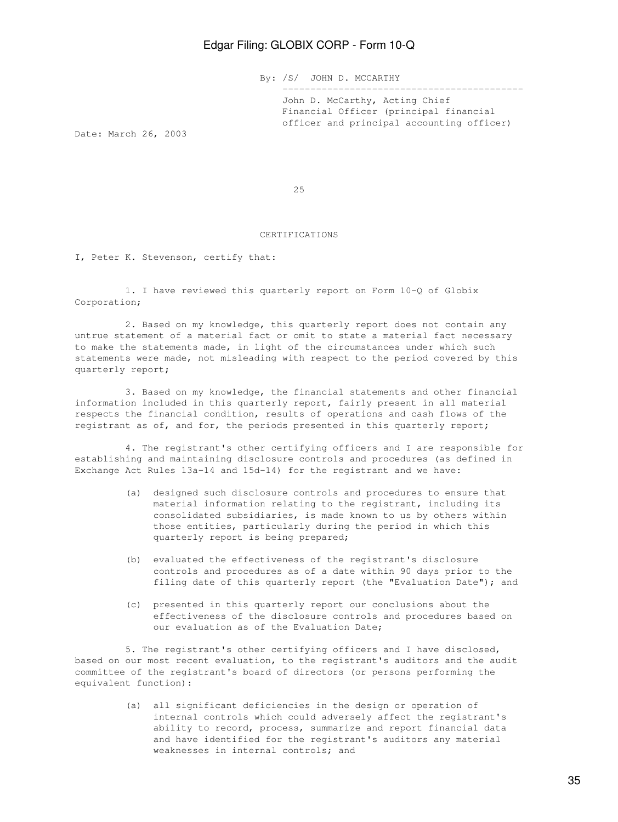By: /S/ JOHN D. MCCARTHY

 John D. McCarthy, Acting Chief Financial Officer (principal financial officer and principal accounting officer)

-------------------------------------------

Date: March 26, 2003

<u>25</u>

### CERTIFICATIONS

I, Peter K. Stevenson, certify that:

 1. I have reviewed this quarterly report on Form 10-Q of Globix Corporation;

 2. Based on my knowledge, this quarterly report does not contain any untrue statement of a material fact or omit to state a material fact necessary to make the statements made, in light of the circumstances under which such statements were made, not misleading with respect to the period covered by this quarterly report;

 3. Based on my knowledge, the financial statements and other financial information included in this quarterly report, fairly present in all material respects the financial condition, results of operations and cash flows of the registrant as of, and for, the periods presented in this quarterly report;

 4. The registrant's other certifying officers and I are responsible for establishing and maintaining disclosure controls and procedures (as defined in Exchange Act Rules 13a-14 and 15d-14) for the registrant and we have:

- (a) designed such disclosure controls and procedures to ensure that material information relating to the registrant, including its consolidated subsidiaries, is made known to us by others within those entities, particularly during the period in which this quarterly report is being prepared;
- (b) evaluated the effectiveness of the registrant's disclosure controls and procedures as of a date within 90 days prior to the filing date of this quarterly report (the "Evaluation Date"); and
- (c) presented in this quarterly report our conclusions about the effectiveness of the disclosure controls and procedures based on our evaluation as of the Evaluation Date;

 5. The registrant's other certifying officers and I have disclosed, based on our most recent evaluation, to the registrant's auditors and the audit committee of the registrant's board of directors (or persons performing the equivalent function):

> (a) all significant deficiencies in the design or operation of internal controls which could adversely affect the registrant's ability to record, process, summarize and report financial data and have identified for the registrant's auditors any material weaknesses in internal controls; and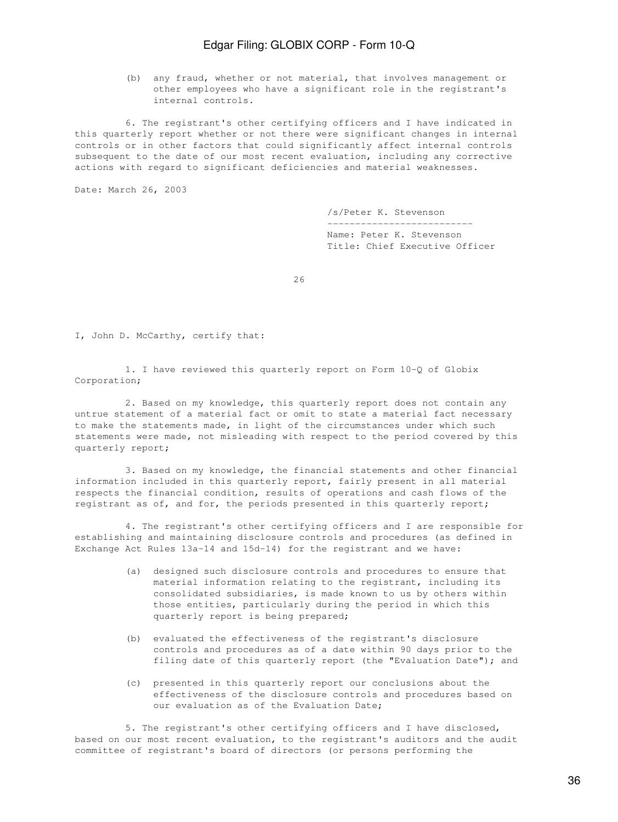(b) any fraud, whether or not material, that involves management or other employees who have a significant role in the registrant's internal controls.

 6. The registrant's other certifying officers and I have indicated in this quarterly report whether or not there were significant changes in internal controls or in other factors that could significantly affect internal controls subsequent to the date of our most recent evaluation, including any corrective actions with regard to significant deficiencies and material weaknesses.

Date: March 26, 2003

 /s/Peter K. Stevenson -------------------------- Name: Peter K. Stevenson Title: Chief Executive Officer

<u>26</u>

I, John D. McCarthy, certify that:

 1. I have reviewed this quarterly report on Form 10-Q of Globix Corporation;

 2. Based on my knowledge, this quarterly report does not contain any untrue statement of a material fact or omit to state a material fact necessary to make the statements made, in light of the circumstances under which such statements were made, not misleading with respect to the period covered by this quarterly report;

 3. Based on my knowledge, the financial statements and other financial information included in this quarterly report, fairly present in all material respects the financial condition, results of operations and cash flows of the registrant as of, and for, the periods presented in this quarterly report;

 4. The registrant's other certifying officers and I are responsible for establishing and maintaining disclosure controls and procedures (as defined in Exchange Act Rules 13a-14 and 15d-14) for the registrant and we have:

- (a) designed such disclosure controls and procedures to ensure that material information relating to the registrant, including its consolidated subsidiaries, is made known to us by others within those entities, particularly during the period in which this quarterly report is being prepared;
- (b) evaluated the effectiveness of the registrant's disclosure controls and procedures as of a date within 90 days prior to the filing date of this quarterly report (the "Evaluation Date"); and
- (c) presented in this quarterly report our conclusions about the effectiveness of the disclosure controls and procedures based on our evaluation as of the Evaluation Date;

 5. The registrant's other certifying officers and I have disclosed, based on our most recent evaluation, to the registrant's auditors and the audit committee of registrant's board of directors (or persons performing the